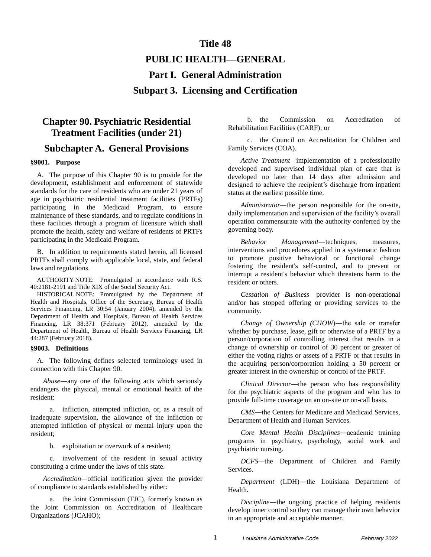# **Title 48**

# **PUBLIC HEALTH—GENERAL Part I. General Administration**

**Subpart 3. Licensing and Certification**

# **Chapter 90. Psychiatric Residential Treatment Facilities (under 21)**

# **Subchapter A. General Provisions**

#### **§9001. Purpose**

A. The purpose of this Chapter 90 is to provide for the development, establishment and enforcement of statewide standards for the care of residents who are under 21 years of age in psychiatric residential treatment facilities (PRTFs) participating in the Medicaid Program, to ensure maintenance of these standards, and to regulate conditions in these facilities through a program of licensure which shall promote the health, safety and welfare of residents of PRTFs participating in the Medicaid Program.

B. In addition to requirements stated herein, all licensed PRTFs shall comply with applicable local, state, and federal laws and regulations.

AUTHORITY NOTE: Promulgated in accordance with R.S. 40:2181-2191 and Title XIX of the Social Security Act.

HISTORICAL NOTE: Promulgated by the Department of Health and Hospitals, Office of the Secretary, Bureau of Health Services Financing, LR 30:54 (January 2004), amended by the Department of Health and Hospitals, Bureau of Health Services Financing, LR 38:371 (February 2012), amended by the Department of Health, Bureau of Health Services Financing, LR 44:287 (February 2018).

#### **§9003. Definitions**

A. The following defines selected terminology used in connection with this Chapter 90.

*Abuse*―any one of the following acts which seriously endangers the physical, mental or emotional health of the resident:

a. infliction, attempted infliction, or, as a result of inadequate supervision, the allowance of the infliction or attempted infliction of physical or mental injury upon the resident;

b. exploitation or overwork of a resident;

c. involvement of the resident in sexual activity constituting a crime under the laws of this state.

*Accreditation—*official notification given the provider of compliance to standards established by either:

a. the Joint Commission (TJC), formerly known as the Joint Commission on Accreditation of Healthcare Organizations (JCAHO);

b. the Commission on Accreditation of Rehabilitation Facilities (CARF); or

c. the Council on Accreditation for Children and Family Services (COA).

*Active Treatment—*implementation of a professionally developed and supervised individual plan of care that is developed no later than 14 days after admission and designed to achieve the recipient's discharge from inpatient status at the earliest possible time.

*Administrator—*the person responsible for the on-site, daily implementation and supervision of the facility's overall operation commensurate with the authority conferred by the governing body.

*Behavior Management*―techniques, measures, interventions and procedures applied in a systematic fashion to promote positive behavioral or functional change fostering the resident's self-control, and to prevent or interrupt a resident's behavior which threatens harm to the resident or others.

*Cessation of Business*—provider is non-operational and/or has stopped offering or providing services to the community.

*Change of Ownership (CHOW)*—the sale or transfer whether by purchase, lease, gift or otherwise of a PRTF by a person/corporation of controlling interest that results in a change of ownership or control of 30 percent or greater of either the voting rights or assets of a PRTF or that results in the acquiring person/corporation holding a 50 percent or greater interest in the ownership or control of the PRTF.

*Clinical Director*―the person who has responsibility for the psychiatric aspects of the program and who has to provide full-time coverage on an on-site or on-call basis.

*CMS*―the Centers for Medicare and Medicaid Services, Department of Health and Human Services.

*Core Mental Health Disciplines*―academic training programs in psychiatry, psychology, social work and psychiatric nursing.

*DCFS—*the Department of Children and Family Services.

*Department* (LDH)―the Louisiana Department of Health.

*Discipline*―the ongoing practice of helping residents develop inner control so they can manage their own behavior in an appropriate and acceptable manner.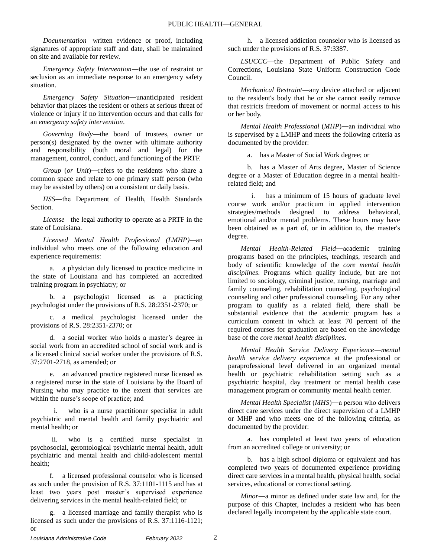*Documentation—*written evidence or proof, including signatures of appropriate staff and date, shall be maintained on site and available for review.

*Emergency Safety Intervention*―the use of restraint or seclusion as an immediate response to an emergency safety situation.

*Emergency Safety Situation*―unanticipated resident behavior that places the resident or others at serious threat of violence or injury if no intervention occurs and that calls for an *emergency safety intervention*.

*Governing Body*―the board of trustees, owner or person(s) designated by the owner with ultimate authority and responsibility (both moral and legal) for the management, control, conduct, and functioning of the PRTF.

*Group (or Unit*)—refers to the residents who share a common space and relate to one primary staff person (who may be assisted by others) on a consistent or daily basis.

*HSS*―the Department of Health, Health Standards Section.

*License—*the legal authority to operate as a PRTF in the state of Louisiana.

*Licensed Mental Health Professional (LMHP)—*an individual who meets one of the following education and experience requirements:

a. a physician duly licensed to practice medicine in the state of Louisiana and has completed an accredited training program in psychiatry; or

b. a psychologist licensed as a practicing psychologist under the provisions of R.S. 28:2351-2370; or

c. a medical psychologist licensed under the provisions of R.S. 28:2351-2370; or

d. a social worker who holds a master's degree in social work from an accredited school of social work and is a licensed clinical social worker under the provisions of R.S. 37:2701-2718, as amended; or

e. an advanced practice registered nurse licensed as a registered nurse in the state of Louisiana by the Board of Nursing who may practice to the extent that services are within the nurse's scope of practice; and

who is a nurse practitioner specialist in adult psychiatric and mental health and family psychiatric and mental health; or

ii. who is a certified nurse specialist in psychosocial, gerontological psychiatric mental health, adult psychiatric and mental health and child-adolescent mental health;

f. a licensed professional counselor who is licensed as such under the provision of R.S. 37:1101-1115 and has at least two years post master's supervised experience delivering services in the mental health-related field; or

g. a licensed marriage and family therapist who is licensed as such under the provisions of R.S. 37:1116-1121; or

h. a licensed addiction counselor who is licensed as such under the provisions of R.S. 37:3387.

LSUCCC—the Department of Public Safety and Corrections, Louisiana State Uniform Construction Code Council.

*Mechanical Restraint*―any device attached or adjacent to the resident's body that he or she cannot easily remove that restricts freedom of movement or normal access to his or her body.

*Mental Health Professional* (*MHP*)―an individual who is supervised by a LMHP and meets the following criteria as documented by the provider:

a. has a Master of Social Work degree; or

b. has a Master of Arts degree, Master of Science degree or a Master of Education degree in a mental healthrelated field; and

i. has a minimum of 15 hours of graduate level course work and/or practicum in applied intervention strategies/methods designed to address behavioral, emotional and/or mental problems. These hours may have been obtained as a part of, or in addition to, the master's degree.

*Mental Health-Related Field*―academic training programs based on the principles, teachings, research and body of scientific knowledge of the *core mental health disciplines*. Programs which qualify include, but are not limited to sociology, criminal justice, nursing, marriage and family counseling, rehabilitation counseling, psychological counseling and other professional counseling. For any other program to qualify as a related field, there shall be substantial evidence that the academic program has a curriculum content in which at least 70 percent of the required courses for graduation are based on the knowledge base of the *core mental health disciplines*.

*Mental Health Service Delivery Experience*―*mental health service delivery experience* at the professional or paraprofessional level delivered in an organized mental health or psychiatric rehabilitation setting such as a psychiatric hospital, day treatment or mental health case management program or community mental health center.

*Mental Health Specialist* (*MHS*)―a person who delivers direct care services under the direct supervision of a LMHP or MHP and who meets one of the following criteria, as documented by the provider:

a. has completed at least two years of education from an accredited college or university; or

b. has a high school diploma or equivalent and has completed two years of documented experience providing direct care services in a mental health, physical health, social services, educational or correctional setting.

*Minor*―a minor as defined under state law and, for the purpose of this Chapter, includes a resident who has been declared legally incompetent by the applicable state court.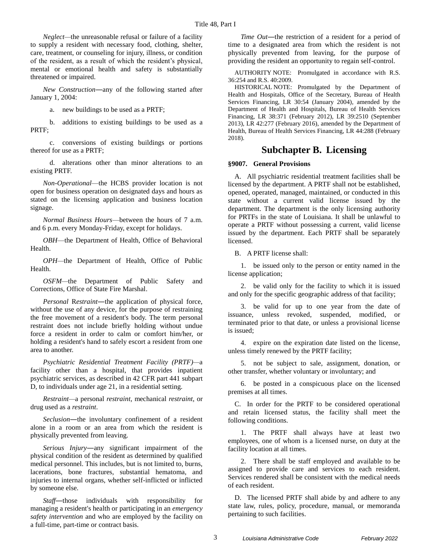*Neglect—*the unreasonable refusal or failure of a facility to supply a resident with necessary food, clothing, shelter, care, treatment, or counseling for injury, illness, or condition of the resident, as a result of which the resident's physical, mental or emotional health and safety is substantially threatened or impaired.

*New Construction*―any of the following started after January 1, 2004:

a. new buildings to be used as a PRTF;

b. additions to existing buildings to be used as a PRTF;

c. conversions of existing buildings or portions thereof for use as a PRTF;

d. alterations other than minor alterations to an existing PRTF.

*Non-Operational*—the HCBS provider location is not open for business operation on designated days and hours as stated on the licensing application and business location signage.

*Normal Business Hours*—between the hours of 7 a.m. and 6 p.m. every Monday-Friday, except for holidays.

*OBH*—the Department of Health, Office of Behavioral Health.

*OPH—*the Department of Health, Office of Public Health.

*OSFM—*the Department of Public Safety and Corrections, Office of State Fire Marshal.

*Personal* R*estraint*―the application of physical force, without the use of any device, for the purpose of restraining the free movement of a resident's body. The term personal restraint does not include briefly holding without undue force a resident in order to calm or comfort him/her, or holding a resident's hand to safely escort a resident from one area to another.

*Psychiatric Residential Treatment Facility (PRTF)—*a facility other than a hospital, that provides inpatient psychiatric services, as described in 42 CFR part 441 subpart D, to individuals under age 21, in a residential setting.

*Restraint—*a personal *restraint*, mechanical *restraint*, or drug used as a *restraint*.

*Seclusion*―the involuntary confinement of a resident alone in a room or an area from which the resident is physically prevented from leaving.

*Serious Injury*―any significant impairment of the physical condition of the resident as determined by qualified medical personnel. This includes, but is not limited to, burns, lacerations, bone fractures, substantial hematoma, and injuries to internal organs, whether self-inflicted or inflicted by someone else.

*Staff*―those individuals with responsibility for managing a resident's health or participating in an *emergency safety intervention* and who are employed by the facility on a full-time, part-time or contract basis.

*Time Out*—the restriction of a resident for a period of time to a designated area from which the resident is not physically prevented from leaving, for the purpose of providing the resident an opportunity to regain self-control.

AUTHORITY NOTE: Promulgated in accordance with R.S. 36:254 and R.S. 40:2009.

HISTORICAL NOTE: Promulgated by the Department of Health and Hospitals, Office of the Secretary, Bureau of Health Services Financing, LR 30:54 (January 2004), amended by the Department of Health and Hospitals, Bureau of Health Services Financing, LR 38:371 (February 2012), LR 39:2510 (September 2013), LR 42:277 (February 2016), amended by the Department of Health, Bureau of Health Services Financing, LR 44:288 (February 2018).

# **Subchapter B. Licensing**

# **§9007. General Provisions**

A. All psychiatric residential treatment facilities shall be licensed by the department. A PRTF shall not be established, opened, operated, managed, maintained, or conducted in this state without a current valid license issued by the department. The department is the only licensing authority for PRTFs in the state of Louisiana. It shall be unlawful to operate a PRTF without possessing a current, valid license issued by the department. Each PRTF shall be separately licensed.

B. A PRTF license shall:

1. be issued only to the person or entity named in the license application;

2. be valid only for the facility to which it is issued and only for the specific geographic address of that facility;

3. be valid for up to one year from the date of issuance, unless revoked, suspended, modified, or terminated prior to that date, or unless a provisional license is issued;

4. expire on the expiration date listed on the license, unless timely renewed by the PRTF facility;

5. not be subject to sale, assignment, donation, or other transfer, whether voluntary or involuntary; and

6. be posted in a conspicuous place on the licensed premises at all times.

C. In order for the PRTF to be considered operational and retain licensed status, the facility shall meet the following conditions.

1. The PRTF shall always have at least two employees, one of whom is a licensed nurse, on duty at the facility location at all times.

2. There shall be staff employed and available to be assigned to provide care and services to each resident. Services rendered shall be consistent with the medical needs of each resident.

D. The licensed PRTF shall abide by and adhere to any state law, rules, policy, procedure, manual, or memoranda pertaining to such facilities.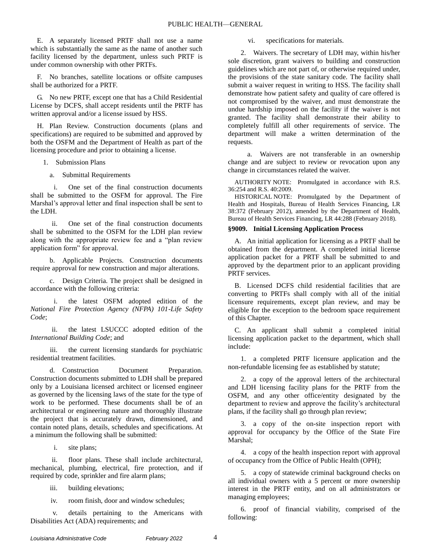E. A separately licensed PRTF shall not use a name which is substantially the same as the name of another such facility licensed by the department, unless such PRTF is under common ownership with other PRTFs.

F. No branches, satellite locations or offsite campuses shall be authorized for a PRTF.

G. No new PRTF, except one that has a Child Residential License by DCFS, shall accept residents until the PRTF has written approval and/or a license issued by HSS.

H. Plan Review. Construction documents (plans and specifications) are required to be submitted and approved by both the OSFM and the Department of Health as part of the licensing procedure and prior to obtaining a license.

1. Submission Plans

a. Submittal Requirements

i. One set of the final construction documents shall be submitted to the OSFM for approval. The Fire Marshal's approval letter and final inspection shall be sent to the LDH.

ii. One set of the final construction documents shall be submitted to the OSFM for the LDH plan review along with the appropriate review fee and a "plan review application form" for approval.

b. Applicable Projects. Construction documents require approval for new construction and major alterations.

c. Design Criteria. The project shall be designed in accordance with the following criteria:

i. the latest OSFM adopted edition of the *National Fire Protection Agency (NFPA) 101-Life Safety Code*;

ii. the latest LSUCCC adopted edition of the *International Building Code*; and

iii. the current licensing standards for psychiatric residential treatment facilities.

d. Construction Document Preparation. Construction documents submitted to LDH shall be prepared only by a Louisiana licensed architect or licensed engineer as governed by the licensing laws of the state for the type of work to be performed. These documents shall be of an architectural or engineering nature and thoroughly illustrate the project that is accurately drawn, dimensioned, and contain noted plans, details, schedules and specifications. At a minimum the following shall be submitted:

i. site plans;

ii. floor plans. These shall include architectural, mechanical, plumbing, electrical, fire protection, and if required by code, sprinkler and fire alarm plans;

iii. building elevations;

iv. room finish, door and window schedules;

v. details pertaining to the Americans with Disabilities Act (ADA) requirements; and

vi. specifications for materials.

2. Waivers. The secretary of LDH may, within his/her sole discretion, grant waivers to building and construction guidelines which are not part of, or otherwise required under, the provisions of the state sanitary code. The facility shall submit a waiver request in writing to HSS. The facility shall demonstrate how patient safety and quality of care offered is not compromised by the waiver, and must demonstrate the undue hardship imposed on the facility if the waiver is not granted. The facility shall demonstrate their ability to completely fulfill all other requirements of service. The department will make a written determination of the requests.

a. Waivers are not transferable in an ownership change and are subject to review or revocation upon any change in circumstances related the waiver.

AUTHORITY NOTE: Promulgated in accordance with R.S. 36:254 and R.S. 40:2009.

HISTORICAL NOTE: Promulgated by the Department of Health and Hospitals, Bureau of Health Services Financing, LR 38:372 (February 2012), amended by the Department of Health, Bureau of Health Services Financing, LR 44:288 (February 2018).

# **§9009. Initial Licensing Application Process**

A. An initial application for licensing as a PRTF shall be obtained from the department. A completed initial license application packet for a PRTF shall be submitted to and approved by the department prior to an applicant providing PRTF services.

B. Licensed DCFS child residential facilities that are converting to PRTFs shall comply with all of the initial licensure requirements, except plan review, and may be eligible for the exception to the bedroom space requirement of this Chapter.

C. An applicant shall submit a completed initial licensing application packet to the department, which shall include:

1. a completed PRTF licensure application and the non-refundable licensing fee as established by statute;

2. a copy of the approval letters of the architectural and LDH licensing facility plans for the PRTF from the OSFM, and any other office/entity designated by the department to review and approve the facility's architectural plans, if the facility shall go through plan review;

3. a copy of the on-site inspection report with approval for occupancy by the Office of the State Fire Marshal;

4. a copy of the health inspection report with approval of occupancy from the Office of Public Health (OPH);

5. a copy of statewide criminal background checks on all individual owners with a 5 percent or more ownership interest in the PRTF entity, and on all administrators or managing employees;

6. proof of financial viability, comprised of the following: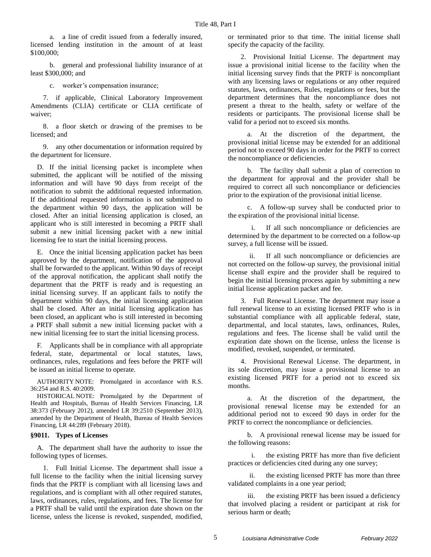a. a line of credit issued from a federally insured, licensed lending institution in the amount of at least \$100,000;

b. general and professional liability insurance of at least \$300,000; and

c. worker's compensation insurance;

7. if applicable, Clinical Laboratory Improvement Amendments (CLIA) certificate or CLIA certificate of waiver;

8. a floor sketch or drawing of the premises to be licensed; and

9. any other documentation or information required by the department for licensure.

D. If the initial licensing packet is incomplete when submitted, the applicant will be notified of the missing information and will have 90 days from receipt of the notification to submit the additional requested information. If the additional requested information is not submitted to the department within 90 days, the application will be closed. After an initial licensing application is closed, an applicant who is still interested in becoming a PRTF shall submit a new initial licensing packet with a new initial licensing fee to start the initial licensing process.

E. Once the initial licensing application packet has been approved by the department, notification of the approval shall be forwarded to the applicant. Within 90 days of receipt of the approval notification, the applicant shall notify the department that the PRTF is ready and is requesting an initial licensing survey. If an applicant fails to notify the department within 90 days, the initial licensing application shall be closed. After an initial licensing application has been closed, an applicant who is still interested in becoming a PRTF shall submit a new initial licensing packet with a new initial licensing fee to start the initial licensing process.

F. Applicants shall be in compliance with all appropriate federal, state, departmental or local statutes, laws, ordinances, rules, regulations and fees before the PRTF will be issued an initial license to operate.

AUTHORITY NOTE: Promulgated in accordance with R.S. 36:254 and R.S. 40:2009.

HISTORICAL NOTE: Promulgated by the Department of Health and Hospitals, Bureau of Health Services Financing, LR 38:373 (February 2012), amended LR 39:2510 (September 2013), amended by the Department of Health, Bureau of Health Services Financing, LR 44:289 (February 2018).

#### **§9011. Types of Licenses**

A. The department shall have the authority to issue the following types of licenses.

1. Full Initial License. The department shall issue a full license to the facility when the initial licensing survey finds that the PRTF is compliant with all licensing laws and regulations, and is compliant with all other required statutes, laws, ordinances, rules, regulations, and fees. The license for a PRTF shall be valid until the expiration date shown on the license, unless the license is revoked, suspended, modified, or terminated prior to that time. The initial license shall specify the capacity of the facility.

2. Provisional Initial License. The department may issue a provisional initial license to the facility when the initial licensing survey finds that the PRTF is noncompliant with any licensing laws or regulations or any other required statutes, laws, ordinances, Rules, regulations or fees, but the department determines that the noncompliance does not present a threat to the health, safety or welfare of the residents or participants. The provisional license shall be valid for a period not to exceed six months.

a. At the discretion of the department, the provisional initial license may be extended for an additional period not to exceed 90 days in order for the PRTF to correct the noncompliance or deficiencies.

b. The facility shall submit a plan of correction to the department for approval and the provider shall be required to correct all such noncompliance or deficiencies prior to the expiration of the provisional initial license.

c. A follow-up survey shall be conducted prior to the expiration of the provisional initial license.

If all such noncompliance or deficiencies are determined by the department to be corrected on a follow-up survey, a full license will be issued.

ii. If all such noncompliance or deficiencies are not corrected on the follow-up survey, the provisional initial license shall expire and the provider shall be required to begin the initial licensing process again by submitting a new initial license application packet and fee.

3. Full Renewal License. The department may issue a full renewal license to an existing licensed PRTF who is in substantial compliance with all applicable federal, state, departmental, and local statutes, laws, ordinances, Rules, regulations and fees. The license shall be valid until the expiration date shown on the license, unless the license is modified, revoked, suspended, or terminated.

4. Provisional Renewal License. The department, in its sole discretion, may issue a provisional license to an existing licensed PRTF for a period not to exceed six months.

a. At the discretion of the department, the provisional renewal license may be extended for an additional period not to exceed 90 days in order for the PRTF to correct the noncompliance or deficiencies.

b. A provisional renewal license may be issued for the following reasons:

i. the existing PRTF has more than five deficient practices or deficiencies cited during any one survey;

ii. the existing licensed PRTF has more than three validated complaints in a one year period;

iii. the existing PRTF has been issued a deficiency that involved placing a resident or participant at risk for serious harm or death;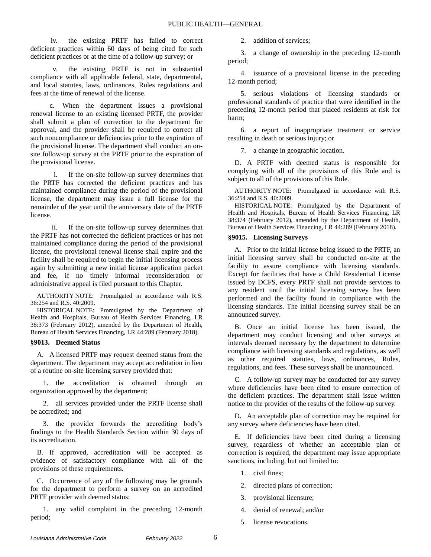iv. the existing PRTF has failed to correct deficient practices within 60 days of being cited for such deficient practices or at the time of a follow-up survey; or

the existing PRTF is not in substantial compliance with all applicable federal, state, departmental, and local statutes, laws, ordinances, Rules regulations and fees at the time of renewal of the license.

c. When the department issues a provisional renewal license to an existing licensed PRTF, the provider shall submit a plan of correction to the department for approval, and the provider shall be required to correct all such noncompliance or deficiencies prior to the expiration of the provisional license. The department shall conduct an onsite follow-up survey at the PRTF prior to the expiration of the provisional license.

i. If the on-site follow-up survey determines that the PRTF has corrected the deficient practices and has maintained compliance during the period of the provisional license, the department may issue a full license for the remainder of the year until the anniversary date of the PRTF license.

ii. If the on-site follow-up survey determines that the PRTF has not corrected the deficient practices or has not maintained compliance during the period of the provisional license, the provisional renewal license shall expire and the facility shall be required to begin the initial licensing process again by submitting a new initial license application packet and fee, if no timely informal reconsideration or administrative appeal is filed pursuant to this Chapter.

AUTHORITY NOTE: Promulgated in accordance with R.S. 36:254 and R.S. 40:2009.

HISTORICAL NOTE: Promulgated by the Department of Health and Hospitals, Bureau of Health Services Financing, LR 38:373 (February 2012), amended by the Department of Health, Bureau of Health Services Financing, LR 44:289 (February 2018).

#### **§9013. Deemed Status**

A. A licensed PRTF may request deemed status from the department. The department may accept accreditation in lieu of a routine on-site licensing survey provided that:

1. the accreditation is obtained through an organization approved by the department;

2. all services provided under the PRTF license shall be accredited; and

3. the provider forwards the accrediting body's findings to the Health Standards Section within 30 days of its accreditation.

B. If approved, accreditation will be accepted as evidence of satisfactory compliance with all of the provisions of these requirements.

C. Occurrence of any of the following may be grounds for the department to perform a survey on an accredited PRTF provider with deemed status:

1. any valid complaint in the preceding 12-month period;

2. addition of services;

3. a change of ownership in the preceding 12-month period;

4. issuance of a provisional license in the preceding 12-month period;

5. serious violations of licensing standards or professional standards of practice that were identified in the preceding 12-month period that placed residents at risk for harm;

6. a report of inappropriate treatment or service resulting in death or serious injury; or

7. a change in geographic location.

D. A PRTF with deemed status is responsible for complying with all of the provisions of this Rule and is subject to all of the provisions of this Rule.

AUTHORITY NOTE: Promulgated in accordance with R.S. 36:254 and R.S. 40:2009.

HISTORICAL NOTE: Promulgated by the Department of Health and Hospitals, Bureau of Health Services Financing, LR 38:374 (February 2012), amended by the Department of Health, Bureau of Health Services Financing, LR 44:289 (February 2018).

#### **§9015. Licensing Surveys**

A. Prior to the initial license being issued to the PRTF, an initial licensing survey shall be conducted on-site at the facility to assure compliance with licensing standards. Except for facilities that have a Child Residential License issued by DCFS, every PRTF shall not provide services to any resident until the initial licensing survey has been performed and the facility found in compliance with the licensing standards. The initial licensing survey shall be an announced survey.

B. Once an initial license has been issued, the department may conduct licensing and other surveys at intervals deemed necessary by the department to determine compliance with licensing standards and regulations, as well as other required statutes, laws, ordinances, Rules, regulations, and fees. These surveys shall be unannounced.

C. A follow-up survey may be conducted for any survey where deficiencies have been cited to ensure correction of the deficient practices. The department shall issue written notice to the provider of the results of the follow-up survey.

D. An acceptable plan of correction may be required for any survey where deficiencies have been cited.

E. If deficiencies have been cited during a licensing survey, regardless of whether an acceptable plan of correction is required, the department may issue appropriate sanctions, including, but not limited to:

- 1. civil fines;
- 2. directed plans of correction;
- 3. provisional licensure;
- 4. denial of renewal; and/or
- 5. license revocations.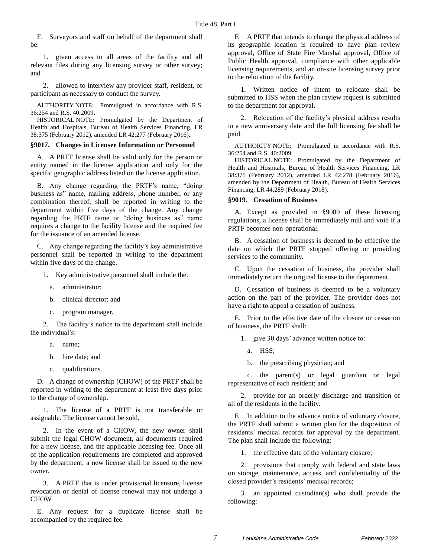F. Surveyors and staff on behalf of the department shall be:

1. given access to all areas of the facility and all relevant files during any licensing survey or other survey; and

2. allowed to interview any provider staff, resident, or participant as necessary to conduct the survey.

AUTHORITY NOTE: Promulgated in accordance with R.S. 36:254 and R.S. 40:2009.

HISTORICAL NOTE: Promulgated by the Department of Health and Hospitals, Bureau of Health Services Financing, LR 38:375 (February 2012), amended LR 42:277 (February 2016).

#### **§9017. Changes in Licensee Information or Personnel**

A. A PRTF license shall be valid only for the person or entity named in the license application and only for the specific geographic address listed on the license application.

B. Any change regarding the PRTF's name, "doing business as" name, mailing address, phone number, or any combination thereof, shall be reported in writing to the department within five days of the change. Any change regarding the PRTF name or "doing business as" name requires a change to the facility license and the required fee for the issuance of an amended license.

C. Any change regarding the facility's key administrative personnel shall be reported in writing to the department within five days of the change.

- 1. Key administrative personnel shall include the:
	- a. administrator;
	- b. clinical director; and
	- c. program manager.

2. The facility's notice to the department shall include the individual's:

- a. name;
- b. hire date; and
- c. qualifications.

D. A change of ownership (CHOW) of the PRTF shall be reported in writing to the department at least five days prior to the change of ownership.

1. The license of a PRTF is not transferable or assignable. The license cannot be sold.

2. In the event of a CHOW, the new owner shall submit the legal CHOW document, all documents required for a new license, and the applicable licensing fee. Once all of the application requirements are completed and approved by the department, a new license shall be issued to the new owner.

3. A PRTF that is under provisional licensure, license revocation or denial of license renewal may not undergo a CHOW.

E. Any request for a duplicate license shall be accompanied by the required fee.

F. A PRTF that intends to change the physical address of its geographic location is required to have plan review approval, Office of State Fire Marshal approval, Office of Public Health approval, compliance with other applicable licensing requirements, and an on-site licensing survey prior to the relocation of the facility.

1. Written notice of intent to relocate shall be submitted to HSS when the plan review request is submitted to the department for approval.

2. Relocation of the facility's physical address results in a new anniversary date and the full licensing fee shall be paid.

AUTHORITY NOTE: Promulgated in accordance with R.S. 36:254 and R.S. 40:2009.

HISTORICAL NOTE: Promulgated by the Department of Health and Hospitals, Bureau of Health Services Financing, LR 38:375 (February 2012), amended LR 42:278 (February 2016), amended by the Department of Health, Bureau of Health Services Financing, LR 44:289 (February 2018).

#### **§9019. Cessation of Business**

A. Except as provided in §9089 of these licensing regulations, a license shall be immediately null and void if a PRTF becomes non-operational.

B. A cessation of business is deemed to be effective the date on which the PRTF stopped offering or providing services to the community.

C. Upon the cessation of business, the provider shall immediately return the original license to the department.

D. Cessation of business is deemed to be a voluntary action on the part of the provider. The provider does not have a right to appeal a cessation of business.

E. Prior to the effective date of the closure or cessation of business, the PRTF shall:

1. give 30 days' advance written notice to:

- a. HSS;
- b. the prescribing physician; and

c. the parent(s) or legal guardian or legal representative of each resident; and

2. provide for an orderly discharge and transition of all of the residents in the facility.

F. In addition to the advance notice of voluntary closure, the PRTF shall submit a written plan for the disposition of residents' medical records for approval by the department. The plan shall include the following:

1. the effective date of the voluntary closure;

2. provisions that comply with federal and state laws on storage, maintenance, access, and confidentiality of the closed provider's residents' medical records;

3. an appointed custodian(s) who shall provide the following: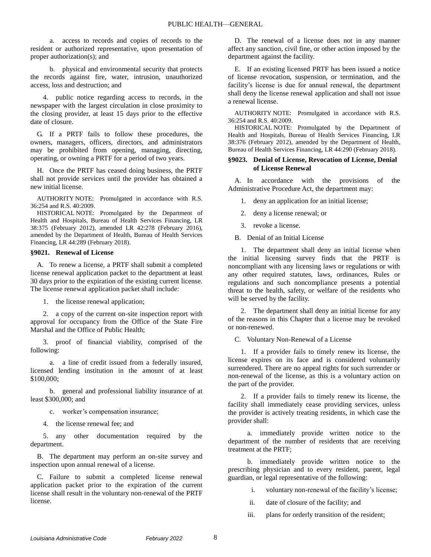a. access to records and copies of records to the resident or authorized representative, upon presentation of proper authorization(s); and

b. physical and environmental security that protects the records against fire, water, intrusion, unauthorized access, loss and destruction; and

4. public notice regarding access to records, in the newspaper with the largest circulation in close proximity to the closing provider, at least 15 days prior to the effective date of closure.

G. If a PRTF fails to follow these procedures, the owners, managers, officers, directors, and administrators may be prohibited from opening, managing, directing, operating, or owning a PRTF for a period of two years.

H. Once the PRTF has ceased doing business, the PRTF shall not provide services until the provider has obtained a new initial license.

AUTHORITY NOTE: Promulgated in accordance with R.S. 36:254 and R.S. 40:2009.

HISTORICAL NOTE: Promulgated by the Department of Health and Hospitals, Bureau of Health Services Financing, LR 38:375 (February 2012), amended LR 42:278 (February 2016), amended by the Department of Health, Bureau of Health Services Financing, LR 44:289 (February 2018).

#### **§9021. Renewal of License**

A. To renew a license, a PRTF shall submit a completed license renewal application packet to the department at least 30 days prior to the expiration of the existing current license. The license renewal application packet shall include:

1. the license renewal application;

2. a copy of the current on-site inspection report with approval for occupancy from the Office of the State Fire Marshal and the Office of Public Health;

3. proof of financial viability, comprised of the following:

a. a line of credit issued from a federally insured, licensed lending institution in the amount of at least \$100,000;

b. general and professional liability insurance of at least \$300,000; and

c. worker's compensation insurance;

4. the license renewal fee; and

5. any other documentation required by the department.

B. The department may perform an on-site survey and inspection upon annual renewal of a license.

C. Failure to submit a completed license renewal application packet prior to the expiration of the current license shall result in the voluntary non-renewal of the PRTF license.

D. The renewal of a license does not in any manner affect any sanction, civil fine, or other action imposed by the department against the facility.

E. If an existing licensed PRTF has been issued a notice of license revocation, suspension, or termination, and the facility's license is due for annual renewal, the department shall deny the license renewal application and shall not issue a renewal license.

AUTHORITY NOTE: Promulgated in accordance with R.S. 36:254 and R.S. 40:2009.

HISTORICAL NOTE: Promulgated by the Department of Health and Hospitals, Bureau of Health Services Financing, LR 38:376 (February 2012), amended by the Department of Health, Bureau of Health Services Financing, LR 44:290 (February 2018).

#### **§9023. Denial of License, Revocation of License, Denial of License Renewal**

A. In accordance with the provisions of the Administrative Procedure Act, the department may:

1. deny an application for an initial license;

2. deny a license renewal; or

3. revoke a license.

B. Denial of an Initial License

1. The department shall deny an initial license when the initial licensing survey finds that the PRTF is noncompliant with any licensing laws or regulations or with any other required statutes, laws, ordinances, Rules or regulations and such noncompliance presents a potential threat to the health, safety, or welfare of the residents who will be served by the facility.

2. The department shall deny an initial license for any of the reasons in this Chapter that a license may be revoked or non-renewed.

C. Voluntary Non-Renewal of a License

1. If a provider fails to timely renew its license, the license expires on its face and is considered voluntarily surrendered. There are no appeal rights for such surrender or non-renewal of the license, as this is a voluntary action on the part of the provider.

2. If a provider fails to timely renew its license, the facility shall immediately cease providing services, unless the provider is actively treating residents, in which case the provider shall:

a. immediately provide written notice to the department of the number of residents that are receiving treatment at the PRTF;

b. immediately provide written notice to the prescribing physician and to every resident, parent, legal guardian, or legal representative of the following:

i. voluntary non-renewal of the facility's license;

- ii. date of closure of the facility; and
- iii. plans for orderly transition of the resident;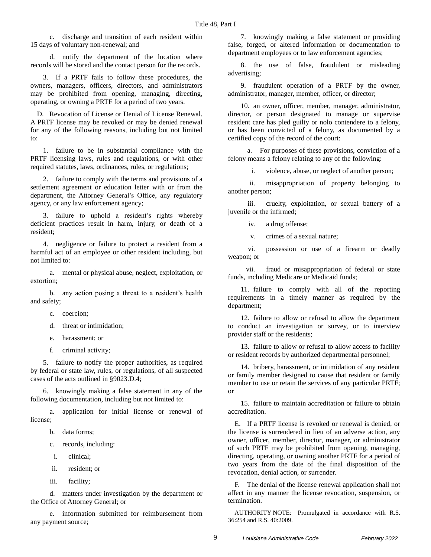c. discharge and transition of each resident within 15 days of voluntary non-renewal; and

d. notify the department of the location where records will be stored and the contact person for the records.

3. If a PRTF fails to follow these procedures, the owners, managers, officers, directors, and administrators may be prohibited from opening, managing, directing, operating, or owning a PRTF for a period of two years.

D. Revocation of License or Denial of License Renewal. A PRTF license may be revoked or may be denied renewal for any of the following reasons, including but not limited to:

1. failure to be in substantial compliance with the PRTF licensing laws, rules and regulations, or with other required statutes, laws, ordinances, rules, or regulations;

2. failure to comply with the terms and provisions of a settlement agreement or education letter with or from the department, the Attorney General's Office, any regulatory agency, or any law enforcement agency;

3. failure to uphold a resident's rights whereby deficient practices result in harm, injury, or death of a resident;

4. negligence or failure to protect a resident from a harmful act of an employee or other resident including, but not limited to:

a. mental or physical abuse, neglect, exploitation, or extortion;

b. any action posing a threat to a resident's health and safety;

c. coercion;

d. threat or intimidation;

e. harassment; or

f. criminal activity;

5. failure to notify the proper authorities, as required by federal or state law, rules, or regulations, of all suspected cases of the acts outlined in §9023.D.4;

6. knowingly making a false statement in any of the following documentation, including but not limited to:

a. application for initial license or renewal of license;

b. data forms;

- c. records, including:
- i. clinical;
- ii. resident; or
- iii. facility;

d. matters under investigation by the department or the Office of Attorney General; or

e. information submitted for reimbursement from any payment source;

7. knowingly making a false statement or providing false, forged, or altered information or documentation to department employees or to law enforcement agencies;

8. the use of false, fraudulent or misleading advertising;

9. fraudulent operation of a PRTF by the owner, administrator, manager, member, officer, or director;

10. an owner, officer, member, manager, administrator, director, or person designated to manage or supervise resident care has pled guilty or nolo contendere to a felony, or has been convicted of a felony, as documented by a certified copy of the record of the court:

a. For purposes of these provisions, conviction of a felony means a felony relating to any of the following:

i. violence, abuse, or neglect of another person;

ii. misappropriation of property belonging to another person;

iii. cruelty, exploitation, or sexual battery of a juvenile or the infirmed;

iv. a drug offense;

v. crimes of a sexual nature;

vi. possession or use of a firearm or deadly weapon; or

vii. fraud or misappropriation of federal or state funds, including Medicare or Medicaid funds;

11. failure to comply with all of the reporting requirements in a timely manner as required by the department;

12. failure to allow or refusal to allow the department to conduct an investigation or survey, or to interview provider staff or the residents;

13. failure to allow or refusal to allow access to facility or resident records by authorized departmental personnel;

14. bribery, harassment, or intimidation of any resident or family member designed to cause that resident or family member to use or retain the services of any particular PRTF; or

15. failure to maintain accreditation or failure to obtain accreditation.

E. If a PRTF license is revoked or renewal is denied, or the license is surrendered in lieu of an adverse action, any owner, officer, member, director, manager, or administrator of such PRTF may be prohibited from opening, managing, directing, operating, or owning another PRTF for a period of two years from the date of the final disposition of the revocation, denial action, or surrender.

F. The denial of the license renewal application shall not affect in any manner the license revocation, suspension, or termination.

AUTHORITY NOTE: Promulgated in accordance with R.S. 36:254 and R.S. 40:2009.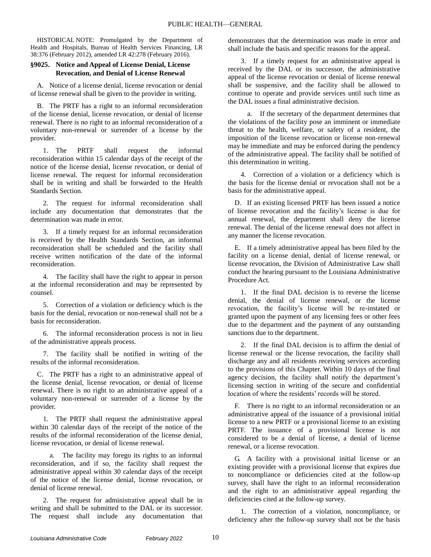HISTORICAL NOTE: Promulgated by the Department of Health and Hospitals, Bureau of Health Services Financing, LR 38:376 (February 2012), amended LR 42:278 (February 2016).

# **§9025. Notice and Appeal of License Denial, License Revocation, and Denial of License Renewal**

A. Notice of a license denial, license revocation or denial of license renewal shall be given to the provider in writing.

B. The PRTF has a right to an informal reconsideration of the license denial, license revocation, or denial of license renewal. There is no right to an informal reconsideration of a voluntary non-renewal or surrender of a license by the provider.

1. The PRTF shall request the informal reconsideration within 15 calendar days of the receipt of the notice of the license denial, license revocation, or denial of license renewal. The request for informal reconsideration shall be in writing and shall be forwarded to the Health Standards Section.

2. The request for informal reconsideration shall include any documentation that demonstrates that the determination was made in error.

3. If a timely request for an informal reconsideration is received by the Health Standards Section, an informal reconsideration shall be scheduled and the facility shall receive written notification of the date of the informal reconsideration.

4. The facility shall have the right to appear in person at the informal reconsideration and may be represented by counsel.

5. Correction of a violation or deficiency which is the basis for the denial, revocation or non-renewal shall not be a basis for reconsideration.

6. The informal reconsideration process is not in lieu of the administrative appeals process.

7. The facility shall be notified in writing of the results of the informal reconsideration.

C. The PRTF has a right to an administrative appeal of the license denial, license revocation, or denial of license renewal. There is no right to an administrative appeal of a voluntary non-renewal or surrender of a license by the provider.

1. The PRTF shall request the administrative appeal within 30 calendar days of the receipt of the notice of the results of the informal reconsideration of the license denial, license revocation, or denial of license renewal.

a. The facility may forego its rights to an informal reconsideration, and if so, the facility shall request the administrative appeal within 30 calendar days of the receipt of the notice of the license denial, license revocation, or denial of license renewal.

2. The request for administrative appeal shall be in writing and shall be submitted to the DAL or its successor. The request shall include any documentation that demonstrates that the determination was made in error and shall include the basis and specific reasons for the appeal.

3. If a timely request for an administrative appeal is received by the DAL or its successor, the administrative appeal of the license revocation or denial of license renewal shall be suspensive, and the facility shall be allowed to continue to operate and provide services until such time as the DAL issues a final administrative decision.

a. If the secretary of the department determines that the violations of the facility pose an imminent or immediate threat to the health, welfare, or safety of a resident, the imposition of the license revocation or license non-renewal may be immediate and may be enforced during the pendency of the administrative appeal. The facility shall be notified of this determination in writing.

4. Correction of a violation or a deficiency which is the basis for the license denial or revocation shall not be a basis for the administrative appeal.

D. If an existing licensed PRTF has been issued a notice of license revocation and the facility's license is due for annual renewal, the department shall deny the license renewal. The denial of the license renewal does not affect in any manner the license revocation.

E. If a timely administrative appeal has been filed by the facility on a license denial, denial of license renewal, or license revocation, the Division of Administrative Law shall conduct the hearing pursuant to the Louisiana Administrative Procedure Act.

1. If the final DAL decision is to reverse the license denial, the denial of license renewal, or the license revocation, the facility's license will be re-instated or granted upon the payment of any licensing fees or other fees due to the department and the payment of any outstanding sanctions due to the department.

2. If the final DAL decision is to affirm the denial of license renewal or the license revocation, the facility shall discharge any and all residents receiving services according to the provisions of this Chapter. Within 10 days of the final agency decision, the facility shall notify the department's licensing section in writing of the secure and confidential location of where the residents' records will be stored.

F. There is no right to an informal reconsideration or an administrative appeal of the issuance of a provisional initial license to a new PRTF or a provisional license to an existing PRTF. The issuance of a provisional license is not considered to be a denial of license, a denial of license renewal, or a license revocation.

G. A facility with a provisional initial license or an existing provider with a provisional license that expires due to noncompliance or deficiencies cited at the follow-up survey, shall have the right to an informal reconsideration and the right to an administrative appeal regarding the deficiencies cited at the follow-up survey.

1. The correction of a violation, noncompliance, or deficiency after the follow-up survey shall not be the basis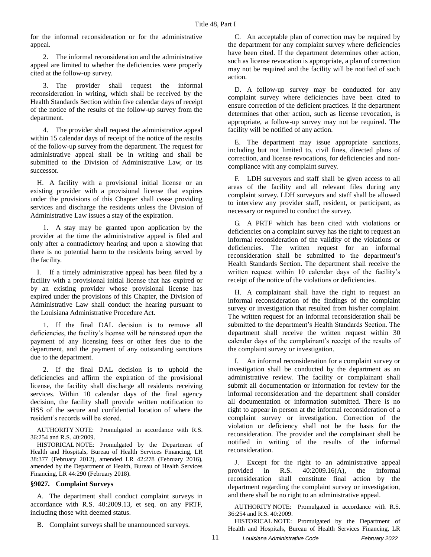for the informal reconsideration or for the administrative appeal.

2. The informal reconsideration and the administrative appeal are limited to whether the deficiencies were properly cited at the follow-up survey.

3. The provider shall request the informal reconsideration in writing, which shall be received by the Health Standards Section within five calendar days of receipt of the notice of the results of the follow-up survey from the department.

4. The provider shall request the administrative appeal within 15 calendar days of receipt of the notice of the results of the follow-up survey from the department. The request for administrative appeal shall be in writing and shall be submitted to the Division of Administrative Law, or its successor.

H. A facility with a provisional initial license or an existing provider with a provisional license that expires under the provisions of this Chapter shall cease providing services and discharge the residents unless the Division of Administrative Law issues a stay of the expiration.

1. A stay may be granted upon application by the provider at the time the administrative appeal is filed and only after a contradictory hearing and upon a showing that there is no potential harm to the residents being served by the facility.

I. If a timely administrative appeal has been filed by a facility with a provisional initial license that has expired or by an existing provider whose provisional license has expired under the provisions of this Chapter, the Division of Administrative Law shall conduct the hearing pursuant to the Louisiana Administrative Procedure Act.

1. If the final DAL decision is to remove all deficiencies, the facility's license will be reinstated upon the payment of any licensing fees or other fees due to the department, and the payment of any outstanding sanctions due to the department.

2. If the final DAL decision is to uphold the deficiencies and affirm the expiration of the provisional license, the facility shall discharge all residents receiving services. Within 10 calendar days of the final agency decision, the facility shall provide written notification to HSS of the secure and confidential location of where the resident's records will be stored.

AUTHORITY NOTE: Promulgated in accordance with R.S. 36:254 and R.S. 40:2009.

HISTORICAL NOTE: Promulgated by the Department of Health and Hospitals, Bureau of Health Services Financing, LR 38:377 (February 2012), amended LR 42:278 (February 2016), amended by the Department of Health, Bureau of Health Services Financing, LR 44:290 (February 2018).

#### **§9027. Complaint Surveys**

A. The department shall conduct complaint surveys in accordance with R.S. 40:2009.13, et seq. on any PRTF, including those with deemed status.

B. Complaint surveys shall be unannounced surveys.

C. An acceptable plan of correction may be required by the department for any complaint survey where deficiencies have been cited. If the department determines other action, such as license revocation is appropriate, a plan of correction may not be required and the facility will be notified of such action.

D. A follow-up survey may be conducted for any complaint survey where deficiencies have been cited to ensure correction of the deficient practices. If the department determines that other action, such as license revocation, is appropriate, a follow-up survey may not be required. The facility will be notified of any action.

E. The department may issue appropriate sanctions, including but not limited to, civil fines, directed plans of correction, and license revocations, for deficiencies and noncompliance with any complaint survey.

F. LDH surveyors and staff shall be given access to all areas of the facility and all relevant files during any complaint survey. LDH surveyors and staff shall be allowed to interview any provider staff, resident, or participant, as necessary or required to conduct the survey.

G. A PRTF which has been cited with violations or deficiencies on a complaint survey has the right to request an informal reconsideration of the validity of the violations or deficiencies. The written request for an informal reconsideration shall be submitted to the department's Health Standards Section. The department shall receive the written request within 10 calendar days of the facility's receipt of the notice of the violations or deficiencies.

H. A complainant shall have the right to request an informal reconsideration of the findings of the complaint survey or investigation that resulted from his/her complaint. The written request for an informal reconsideration shall be submitted to the department's Health Standards Section. The department shall receive the written request within 30 calendar days of the complainant's receipt of the results of the complaint survey or investigation.

I. An informal reconsideration for a complaint survey or investigation shall be conducted by the department as an administrative review. The facility or complainant shall submit all documentation or information for review for the informal reconsideration and the department shall consider all documentation or information submitted. There is no right to appear in person at the informal reconsideration of a complaint survey or investigation. Correction of the violation or deficiency shall not be the basis for the reconsideration. The provider and the complainant shall be notified in writing of the results of the informal reconsideration.

J. Except for the right to an administrative appeal provided in R.S. 40:2009.16(A), the informal reconsideration shall constitute final action by the department regarding the complaint survey or investigation, and there shall be no right to an administrative appeal.

AUTHORITY NOTE: Promulgated in accordance with R.S. 36:254 and R.S. 40:2009.

HISTORICAL NOTE: Promulgated by the Department of Health and Hospitals, Bureau of Health Services Financing, LR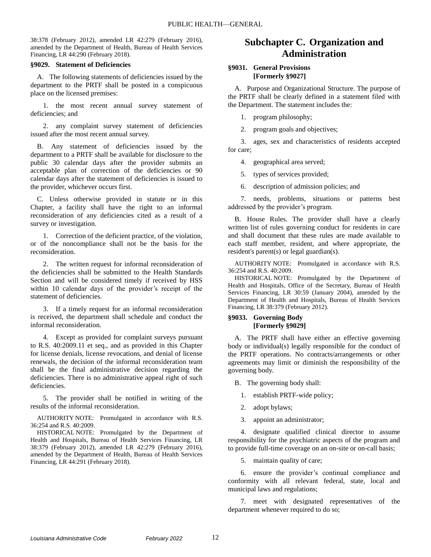38:378 (February 2012), amended LR 42:279 (February 2016), amended by the Department of Health, Bureau of Health Services Financing, LR 44:290 (February 2018).

#### **§9029. Statement of Deficiencies**

A. The following statements of deficiencies issued by the department to the PRTF shall be posted in a conspicuous place on the licensed premises:

1. the most recent annual survey statement of deficiencies; and

2. any complaint survey statement of deficiencies issued after the most recent annual survey.

B. Any statement of deficiencies issued by the department to a PRTF shall be available for disclosure to the public 30 calendar days after the provider submits an acceptable plan of correction of the deficiencies or 90 calendar days after the statement of deficiencies is issued to the provider, whichever occurs first.

C. Unless otherwise provided in statute or in this Chapter, a facility shall have the right to an informal reconsideration of any deficiencies cited as a result of a survey or investigation.

1. Correction of the deficient practice, of the violation, or of the noncompliance shall not be the basis for the reconsideration.

2. The written request for informal reconsideration of the deficiencies shall be submitted to the Health Standards Section and will be considered timely if received by HSS within 10 calendar days of the provider's receipt of the statement of deficiencies.

3. If a timely request for an informal reconsideration is received, the department shall schedule and conduct the informal reconsideration.

4. Except as provided for complaint surveys pursuant to R.S. 40:2009.11 et seq., and as provided in this Chapter for license denials, license revocations, and denial of license renewals, the decision of the informal reconsideration team shall be the final administrative decision regarding the deficiencies. There is no administrative appeal right of such deficiencies.

5. The provider shall be notified in writing of the results of the informal reconsideration.

AUTHORITY NOTE: Promulgated in accordance with R.S. 36:254 and R.S. 40:2009.

HISTORICAL NOTE: Promulgated by the Department of Health and Hospitals, Bureau of Health Services Financing, LR 38:379 (February 2012), amended LR 42:279 (February 2016), amended by the Department of Health, Bureau of Health Services Financing, LR 44:291 (February 2018).

# **Subchapter C. Organization and Administration**

# **§9031. General Provisions [Formerly §9027]**

A. Purpose and Organizational Structure. The purpose of the PRTF shall be clearly defined in a statement filed with the Department. The statement includes the:

1. program philosophy;

2. program goals and objectives;

3. ages, sex and characteristics of residents accepted for care;

4. geographical area served;

5. types of services provided;

6. description of admission policies; and

7. needs, problems, situations or patterns best addressed by the provider's program.

B. House Rules. The provider shall have a clearly written list of rules governing conduct for residents in care and shall document that these rules are made available to each staff member, resident, and where appropriate, the resident's parent(s) or legal guardian(s).

AUTHORITY NOTE: Promulgated in accordance with R.S. 36:254 and R.S. 40:2009.

HISTORICAL NOTE: Promulgated by the Department of Health and Hospitals, Office of the Secretary, Bureau of Health Services Financing, LR 30:59 (January 2004), amended by the Department of Health and Hospitals, Bureau of Health Services Financing, LR 38:379 (February 2012).

# **§9033. Governing Body [Formerly §9029]**

A. The PRTF shall have either an effective governing body or individual(s) legally responsible for the conduct of the PRTF operations. No contracts/arrangements or other agreements may limit or diminish the responsibility of the governing body.

B. The governing body shall:

1. establish PRTF-wide policy;

2. adopt bylaws;

3. appoint an administrator;

4. designate qualified clinical director to assume responsibility for the psychiatric aspects of the program and to provide full-time coverage on an on-site or on-call basis;

5. maintain quality of care;

6. ensure the provider's continual compliance and conformity with all relevant federal, state, local and municipal laws and regulations;

7. meet with designated representatives of the department whenever required to do so;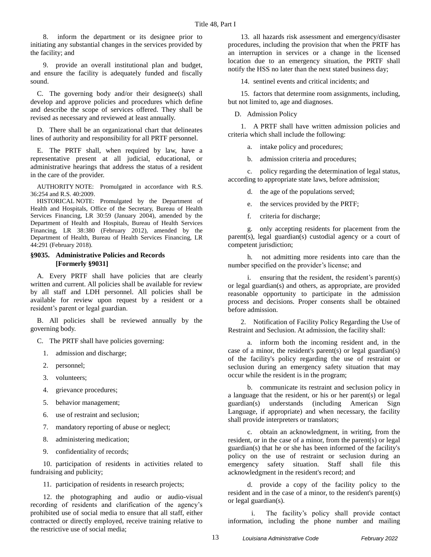8. inform the department or its designee prior to initiating any substantial changes in the services provided by the facility; and

9. provide an overall institutional plan and budget, and ensure the facility is adequately funded and fiscally sound.

C. The governing body and/or their designee(s) shall develop and approve policies and procedures which define and describe the scope of services offered. They shall be revised as necessary and reviewed at least annually.

D. There shall be an organizational chart that delineates lines of authority and responsibility for all PRTF personnel.

E. The PRTF shall, when required by law, have a representative present at all judicial, educational, or administrative hearings that address the status of a resident in the care of the provider.

AUTHORITY NOTE: Promulgated in accordance with R.S. 36:254 and R.S. 40:2009.

HISTORICAL NOTE: Promulgated by the Department of Health and Hospitals, Office of the Secretary, Bureau of Health Services Financing, LR 30:59 (January 2004), amended by the Department of Health and Hospitals, Bureau of Health Services Financing, LR 38:380 (February 2012), amended by the Department of Health, Bureau of Health Services Financing, LR 44:291 (February 2018).

# **§9035. Administrative Policies and Records [Formerly §9031]**

A. Every PRTF shall have policies that are clearly written and current. All policies shall be available for review by all staff and LDH personnel. All policies shall be available for review upon request by a resident or a resident's parent or legal guardian.

B. All policies shall be reviewed annually by the governing body.

C. The PRTF shall have policies governing:

- 1. admission and discharge;
- 2. personnel;
- 3. volunteers;
- 4. grievance procedures;
- 5. behavior management;
- 6. use of restraint and seclusion;
- 7. mandatory reporting of abuse or neglect;
- 8. administering medication;
- 9. confidentiality of records;

10. participation of residents in activities related to fundraising and publicity;

11. participation of residents in research projects;

12. the photographing and audio or audio-visual recording of residents and clarification of the agency's prohibited use of social media to ensure that all staff, either contracted or directly employed, receive training relative to the restrictive use of social media;

13. all hazards risk assessment and emergency/disaster procedures, including the provision that when the PRTF has an interruption in services or a change in the licensed location due to an emergency situation, the PRTF shall notify the HSS no later than the next stated business day;

14. sentinel events and critical incidents; and

15. factors that determine room assignments, including, but not limited to, age and diagnoses.

D. Admission Policy

1. A PRTF shall have written admission policies and criteria which shall include the following:

a. intake policy and procedures;

b. admission criteria and procedures;

c. policy regarding the determination of legal status, according to appropriate state laws, before admission;

d. the age of the populations served;

e. the services provided by the PRTF;

f. criteria for discharge;

g. only accepting residents for placement from the parent(s), legal guardian(s) custodial agency or a court of competent jurisdiction;

h. not admitting more residents into care than the number specified on the provider's license; and

i. ensuring that the resident, the resident's parent(s) or legal guardian(s) and others, as appropriate, are provided reasonable opportunity to participate in the admission process and decisions. Proper consents shall be obtained before admission.

2. Notification of Facility Policy Regarding the Use of Restraint and Seclusion. At admission, the facility shall:

a. inform both the incoming resident and, in the case of a minor, the resident's parent(s) or legal guardian(s) of the facility's policy regarding the use of restraint or seclusion during an emergency safety situation that may occur while the resident is in the program;

b. communicate its restraint and seclusion policy in a language that the resident, or his or her parent(s) or legal guardian(s) understands (including American Sign Language, if appropriate) and when necessary, the facility shall provide interpreters or translators;

c. obtain an acknowledgment, in writing, from the resident, or in the case of a minor, from the parent(s) or legal guardian(s) that he or she has been informed of the facility's policy on the use of restraint or seclusion during an emergency safety situation. Staff shall file this acknowledgment in the resident's record; and

d. provide a copy of the facility policy to the resident and in the case of a minor, to the resident's parent(s) or legal guardian(s).

i. The facility's policy shall provide contact information, including the phone number and mailing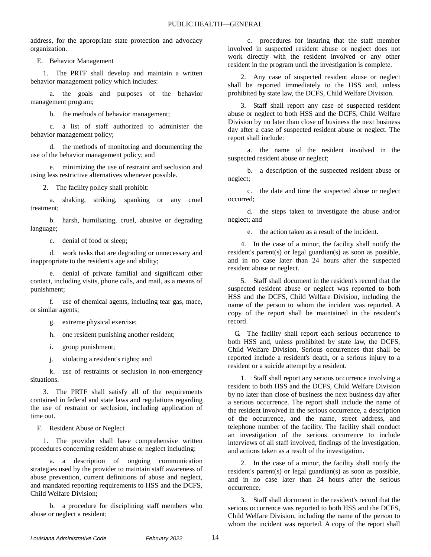address, for the appropriate state protection and advocacy organization.

E. Behavior Management

1. The PRTF shall develop and maintain a written behavior management policy which includes:

a. the goals and purposes of the behavior management program;

b. the methods of behavior management;

c. a list of staff authorized to administer the behavior management policy;

d. the methods of monitoring and documenting the use of the behavior management policy; and

e. minimizing the use of restraint and seclusion and using less restrictive alternatives whenever possible.

2. The facility policy shall prohibit:

a. shaking, striking, spanking or any cruel treatment;

b. harsh, humiliating, cruel, abusive or degrading language;

c. denial of food or sleep;

d. work tasks that are degrading or unnecessary and inappropriate to the resident's age and ability;

e. denial of private familial and significant other contact, including visits, phone calls, and mail, as a means of punishment;

f. use of chemical agents, including tear gas, mace, or similar agents;

g. extreme physical exercise;

h. one resident punishing another resident;

i. group punishment;

j. violating a resident's rights; and

k. use of restraints or seclusion in non-emergency situations.

3. The PRTF shall satisfy all of the requirements contained in federal and state laws and regulations regarding the use of restraint or seclusion, including application of time out.

F. Resident Abuse or Neglect

1. The provider shall have comprehensive written procedures concerning resident abuse or neglect including:

a. a description of ongoing communication strategies used by the provider to maintain staff awareness of abuse prevention, current definitions of abuse and neglect, and mandated reporting requirements to HSS and the DCFS, Child Welfare Division;

b. a procedure for disciplining staff members who abuse or neglect a resident;

c. procedures for insuring that the staff member involved in suspected resident abuse or neglect does not work directly with the resident involved or any other resident in the program until the investigation is complete.

2. Any case of suspected resident abuse or neglect shall be reported immediately to the HSS and, unless prohibited by state law, the DCFS, Child Welfare Division.

3. Staff shall report any case of suspected resident abuse or neglect to both HSS and the DCFS, Child Welfare Division by no later than close of business the next business day after a case of suspected resident abuse or neglect. The report shall include:

a. the name of the resident involved in the suspected resident abuse or neglect;

b. a description of the suspected resident abuse or neglect;

c. the date and time the suspected abuse or neglect occurred;

d. the steps taken to investigate the abuse and/or neglect; and

e. the action taken as a result of the incident.

4. In the case of a minor, the facility shall notify the resident's parent(s) or legal guardian(s) as soon as possible, and in no case later than 24 hours after the suspected resident abuse or neglect.

5. Staff shall document in the resident's record that the suspected resident abuse or neglect was reported to both HSS and the DCFS, Child Welfare Division, including the name of the person to whom the incident was reported. A copy of the report shall be maintained in the resident's record.

G. The facility shall report each serious occurrence to both HSS and, unless prohibited by state law, the DCFS, Child Welfare Division. Serious occurrences that shall be reported include a resident's death, or a serious injury to a resident or a suicide attempt by a resident.

1. Staff shall report any serious occurrence involving a resident to both HSS and the DCFS, Child Welfare Division by no later than close of business the next business day after a serious occurrence. The report shall include the name of the resident involved in the serious occurrence, a description of the occurrence, and the name, street address, and telephone number of the facility. The facility shall conduct an investigation of the serious occurrence to include interviews of all staff involved, findings of the investigation, and actions taken as a result of the investigation.

2. In the case of a minor, the facility shall notify the resident's parent(s) or legal guardian(s) as soon as possible, and in no case later than 24 hours after the serious occurrence.

3. Staff shall document in the resident's record that the serious occurrence was reported to both HSS and the DCFS, Child Welfare Division, including the name of the person to whom the incident was reported. A copy of the report shall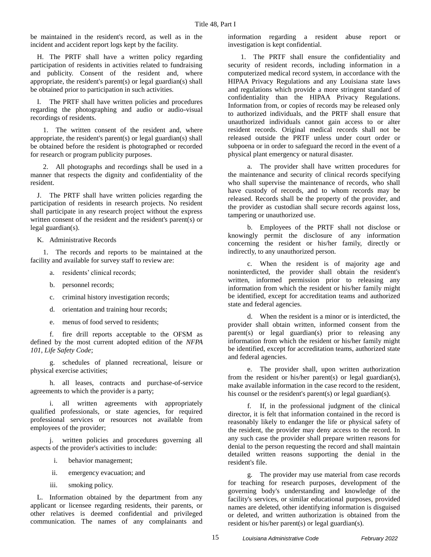be maintained in the resident's record, as well as in the incident and accident report logs kept by the facility.

H. The PRTF shall have a written policy regarding participation of residents in activities related to fundraising and publicity. Consent of the resident and, where appropriate, the resident's parent(s) or legal guardian(s) shall be obtained prior to participation in such activities.

I. The PRTF shall have written policies and procedures regarding the photographing and audio or audio-visual recordings of residents.

1. The written consent of the resident and, where appropriate, the resident's parent(s) or legal guardian(s) shall be obtained before the resident is photographed or recorded for research or program publicity purposes.

2. All photographs and recordings shall be used in a manner that respects the dignity and confidentiality of the resident.

J. The PRTF shall have written policies regarding the participation of residents in research projects. No resident shall participate in any research project without the express written consent of the resident and the resident's parent(s) or legal guardian(s).

K. Administrative Records

1. The records and reports to be maintained at the facility and available for survey staff to review are:

- a. residents' clinical records;
- b. personnel records;
- c. criminal history investigation records;
- d. orientation and training hour records;
- e. menus of food served to residents;

f. fire drill reports acceptable to the OFSM as defined by the most current adopted edition of the *NFPA 101, Life Safety Code*;

g. schedules of planned recreational, leisure or physical exercise activities;

h. all leases, contracts and purchase-of-service agreements to which the provider is a party;

i. all written agreements with appropriately qualified professionals, or state agencies, for required professional services or resources not available from employees of the provider;

j. written policies and procedures governing all aspects of the provider's activities to include:

- i. behavior management;
- ii. emergency evacuation; and
- iii. smoking policy.

L. Information obtained by the department from any applicant or licensee regarding residents, their parents, or other relatives is deemed confidential and privileged communication. The names of any complainants and

information regarding a resident abuse report or investigation is kept confidential.

1. The PRTF shall ensure the confidentiality and security of resident records, including information in a computerized medical record system, in accordance with the HIPAA Privacy Regulations and any Louisiana state laws and regulations which provide a more stringent standard of confidentiality than the HIPAA Privacy Regulations. Information from, or copies of records may be released only to authorized individuals, and the PRTF shall ensure that unauthorized individuals cannot gain access to or alter resident records. Original medical records shall not be released outside the PRTF unless under court order or subpoena or in order to safeguard the record in the event of a physical plant emergency or natural disaster.

a. The provider shall have written procedures for the maintenance and security of clinical records specifying who shall supervise the maintenance of records, who shall have custody of records, and to whom records may be released. Records shall be the property of the provider, and the provider as custodian shall secure records against loss, tampering or unauthorized use.

b. Employees of the PRTF shall not disclose or knowingly permit the disclosure of any information concerning the resident or his/her family, directly or indirectly, to any unauthorized person.

c. When the resident is of majority age and noninterdicted, the provider shall obtain the resident's written, informed permission prior to releasing any information from which the resident or his/her family might be identified, except for accreditation teams and authorized state and federal agencies.

d. When the resident is a minor or is interdicted, the provider shall obtain written, informed consent from the parent(s) or legal guardian(s) prior to releasing any information from which the resident or his/her family might be identified, except for accreditation teams, authorized state and federal agencies.

e. The provider shall, upon written authorization from the resident or his/her parent(s) or legal guardian(s), make available information in the case record to the resident, his counsel or the resident's parent(s) or legal guardian(s).

f. If, in the professional judgment of the clinical director, it is felt that information contained in the record is reasonably likely to endanger the life or physical safety of the resident, the provider may deny access to the record. In any such case the provider shall prepare written reasons for denial to the person requesting the record and shall maintain detailed written reasons supporting the denial in the resident's file.

g. The provider may use material from case records for teaching for research purposes, development of the governing body's understanding and knowledge of the facility's services, or similar educational purposes, provided names are deleted, other identifying information is disguised or deleted, and written authorization is obtained from the resident or his/her parent(s) or legal guardian(s).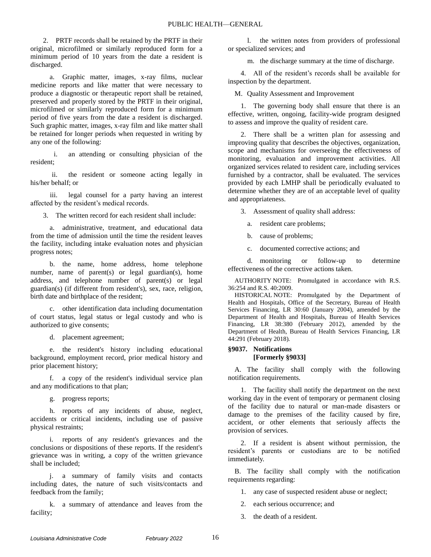2. PRTF records shall be retained by the PRTF in their original, microfilmed or similarly reproduced form for a minimum period of 10 years from the date a resident is discharged.

a. Graphic matter, images, x-ray films, nuclear medicine reports and like matter that were necessary to produce a diagnostic or therapeutic report shall be retained, preserved and properly stored by the PRTF in their original, microfilmed or similarly reproduced form for a minimum period of five years from the date a resident is discharged. Such graphic matter, images, x-ray film and like matter shall be retained for longer periods when requested in writing by any one of the following:

i. an attending or consulting physician of the resident;

ii. the resident or someone acting legally in his/her behalf; or

iii. legal counsel for a party having an interest affected by the resident's medical records.

3. The written record for each resident shall include:

a. administrative, treatment, and educational data from the time of admission until the time the resident leaves the facility, including intake evaluation notes and physician progress notes;

b. the name, home address, home telephone number, name of parent(s) or legal guardian(s), home address, and telephone number of parent(s) or legal guardian(s) (if different from resident's), sex, race, religion, birth date and birthplace of the resident;

c. other identification data including documentation of court status, legal status or legal custody and who is authorized to give consents;

d. placement agreement;

e. the resident's history including educational background, employment record, prior medical history and prior placement history;

f. a copy of the resident's individual service plan and any modifications to that plan;

g. progress reports;

h. reports of any incidents of abuse, neglect, accidents or critical incidents, including use of passive physical restraints;

i. reports of any resident's grievances and the conclusions or dispositions of these reports. If the resident's grievance was in writing, a copy of the written grievance shall be included;

j. a summary of family visits and contacts including dates, the nature of such visits/contacts and feedback from the family;

k. a summary of attendance and leaves from the facility;

l. the written notes from providers of professional or specialized services; and

m. the discharge summary at the time of discharge.

4. All of the resident's records shall be available for inspection by the department.

M. Quality Assessment and Improvement

1. The governing body shall ensure that there is an effective, written, ongoing, facility-wide program designed to assess and improve the quality of resident care.

2. There shall be a written plan for assessing and improving quality that describes the objectives, organization, scope and mechanisms for overseeing the effectiveness of monitoring, evaluation and improvement activities. All organized services related to resident care, including services furnished by a contractor, shall be evaluated. The services provided by each LMHP shall be periodically evaluated to determine whether they are of an acceptable level of quality and appropriateness.

3. Assessment of quality shall address:

a. resident care problems;

- b. cause of problems;
- c. documented corrective actions; and

d. monitoring or follow-up to determine effectiveness of the corrective actions taken.

AUTHORITY NOTE: Promulgated in accordance with R.S. 36:254 and R.S. 40:2009.

HISTORICAL NOTE: Promulgated by the Department of Health and Hospitals, Office of the Secretary, Bureau of Health Services Financing, LR 30:60 (January 2004), amended by the Department of Health and Hospitals, Bureau of Health Services Financing, LR 38:380 (February 2012), amended by the Department of Health, Bureau of Health Services Financing, LR 44:291 (February 2018).

# **§9037. Notifications [Formerly §9033]**

A. The facility shall comply with the following notification requirements.

1. The facility shall notify the department on the next working day in the event of temporary or permanent closing of the facility due to natural or man-made disasters or damage to the premises of the facility caused by fire, accident, or other elements that seriously affects the provision of services.

2. If a resident is absent without permission, the resident's parents or custodians are to be notified immediately.

B. The facility shall comply with the notification requirements regarding:

1. any case of suspected resident abuse or neglect;

2. each serious occurrence; and

3. the death of a resident.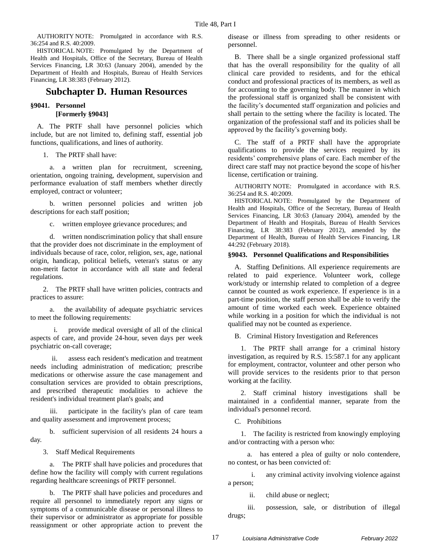AUTHORITY NOTE: Promulgated in accordance with R.S. 36:254 and R.S. 40:2009.

HISTORICAL NOTE: Promulgated by the Department of Health and Hospitals, Office of the Secretary, Bureau of Health Services Financing, LR 30:63 (January 2004), amended by the Department of Health and Hospitals, Bureau of Health Services Financing, LR 38:383 (February 2012).

# **Subchapter D. Human Resources**

# **§9041. Personnel [Formerly §9043]**

A. The PRTF shall have personnel policies which include, but are not limited to, defining staff, essential job functions, qualifications, and lines of authority.

1. The PRTF shall have:

a. a written plan for recruitment, screening, orientation, ongoing training, development, supervision and performance evaluation of staff members whether directly employed, contract or volunteer;

b. written personnel policies and written job descriptions for each staff position;

c. written employee grievance procedures; and

d. written nondiscrimination policy that shall ensure that the provider does not discriminate in the employment of individuals because of race, color, religion, sex, age, national origin, handicap, political beliefs, veteran's status or any non-merit factor in accordance with all state and federal regulations.

2. The PRTF shall have written policies, contracts and practices to assure:

a. the availability of adequate psychiatric services to meet the following requirements:

provide medical oversight of all of the clinical aspects of care, and provide 24-hour, seven days per week psychiatric on-call coverage;

ii. assess each resident's medication and treatment needs including administration of medication; prescribe medications or otherwise assure the case management and consultation services are provided to obtain prescriptions, and prescribed therapeutic modalities to achieve the resident's individual treatment plan's goals; and

iii. participate in the facility's plan of care team and quality assessment and improvement process;

b. sufficient supervision of all residents 24 hours a day.

3. Staff Medical Requirements

a. The PRTF shall have policies and procedures that define how the facility will comply with current regulations regarding healthcare screenings of PRTF personnel.

b. The PRTF shall have policies and procedures and require all personnel to immediately report any signs or symptoms of a communicable disease or personal illness to their supervisor or administrator as appropriate for possible reassignment or other appropriate action to prevent the

disease or illness from spreading to other residents or personnel.

B. There shall be a single organized professional staff that has the overall responsibility for the quality of all clinical care provided to residents, and for the ethical conduct and professional practices of its members, as well as for accounting to the governing body. The manner in which the professional staff is organized shall be consistent with the facility's documented staff organization and policies and shall pertain to the setting where the facility is located. The organization of the professional staff and its policies shall be approved by the facility's governing body.

C. The staff of a PRTF shall have the appropriate qualifications to provide the services required by its residents' comprehensive plans of care. Each member of the direct care staff may not practice beyond the scope of his/her license, certification or training.

AUTHORITY NOTE: Promulgated in accordance with R.S. 36:254 and R.S. 40:2009.

HISTORICAL NOTE: Promulgated by the Department of Health and Hospitals, Office of the Secretary, Bureau of Health Services Financing, LR 30:63 (January 2004), amended by the Department of Health and Hospitals, Bureau of Health Services Financing, LR 38:383 (February 2012), amended by the Department of Health, Bureau of Health Services Financing, LR 44:292 (February 2018).

# **§9043. Personnel Qualifications and Responsibilities**

A. Staffing Definitions. All experience requirements are related to paid experience. Volunteer work, college work/study or internship related to completion of a degree cannot be counted as work experience. If experience is in a part-time position, the staff person shall be able to verify the amount of time worked each week. Experience obtained while working in a position for which the individual is not qualified may not be counted as experience.

B. Criminal History Investigation and References

1. The PRTF shall arrange for a criminal history investigation, as required by R.S. 15:587.1 for any applicant for employment, contractor, volunteer and other person who will provide services to the residents prior to that person working at the facility.

2. Staff criminal history investigations shall be maintained in a confidential manner, separate from the individual's personnel record.

C. Prohibitions

1. The facility is restricted from knowingly employing and/or contracting with a person who:

a. has entered a plea of guilty or nolo contendere, no contest, or has been convicted of:

i. any criminal activity involving violence against a person;

ii. child abuse or neglect;

iii. possession, sale, or distribution of illegal drugs;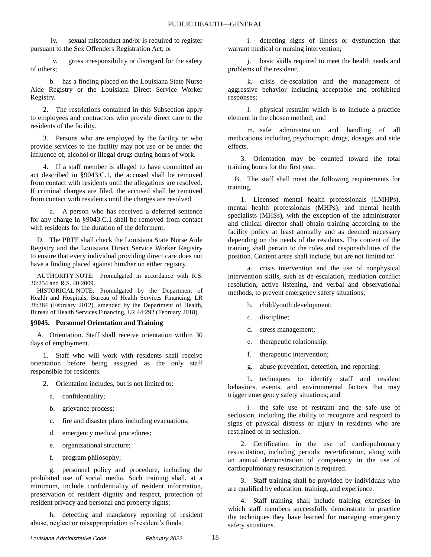iv. sexual misconduct and/or is required to register pursuant to the Sex Offenders Registration Act; or

v. gross irresponsibility or disregard for the safety of others;

b. has a finding placed on the Louisiana State Nurse Aide Registry or the Louisiana Direct Service Worker Registry.

2. The restrictions contained in this Subsection apply to employees and contractors who provide direct care to the residents of the facility.

3. Persons who are employed by the facility or who provide services to the facility may not use or be under the influence of, alcohol or illegal drugs during hours of work.

4. If a staff member is alleged to have committed an act described in §9043.C.1, the accused shall be removed from contact with residents until the allegations are resolved. If criminal charges are filed, the accused shall be removed from contact with residents until the charges are resolved.

a. A person who has received a deferred sentence for any charge in §9043.C.1 shall be removed from contact with residents for the duration of the deferment.

D. The PRTF shall check the Louisiana State Nurse Aide Registry and the Louisiana Direct Service Worker Registry to ensure that every individual providing direct care does not have a finding placed against him/her on either registry.

AUTHORITY NOTE: Promulgated in accordance with R.S. 36:254 and R.S. 40:2009.

HISTORICAL NOTE: Promulgated by the Department of Health and Hospitals, Bureau of Health Services Financing, LR 38:384 (February 2012), amended by the Department of Health, Bureau of Health Services Financing, LR 44:292 (February 2018).

#### **§9045. Personnel Orientation and Training**

A. Orientation. Staff shall receive orientation within 30 days of employment.

1. Staff who will work with residents shall receive orientation before being assigned as the only staff responsible for residents.

- 2. Orientation includes, but is not limited to:
	- a. confidentiality;
	- b. grievance process;
	- c. fire and disaster plans including evacuations;
	- d. emergency medical procedures;
	- e. organizational structure;
	- f. program philosophy;

g. personnel policy and procedure, including the prohibited use of social media. Such training shall, at a minimum, include confidentiality of resident information, preservation of resident dignity and respect, protection of resident privacy and personal and property rights;

h. detecting and mandatory reporting of resident abuse, neglect or misappropriation of resident's funds;

i. detecting signs of illness or dysfunction that warrant medical or nursing intervention;

j. basic skills required to meet the health needs and problems of the resident;

k. crisis de-escalation and the management of aggressive behavior including acceptable and prohibited responses;

l. physical restraint which is to include a practice element in the chosen method; and

m. safe administration and handling of all medications including psychotropic drugs, dosages and side effects.

3. Orientation may be counted toward the total training hours for the first year.

B. The staff shall meet the following requirements for training.

1. Licensed mental health professionals (LMHPs), mental health professionals (MHPs), and mental health specialists (MHSs), with the exception of the administrator and clinical director shall obtain training according to the facility policy at least annually and as deemed necessary depending on the needs of the residents. The content of the training shall pertain to the roles and responsibilities of the position. Content areas shall include, but are not limited to:

a. crisis intervention and the use of nonphysical intervention skills, such as de-escalation, mediation conflict resolution, active listening, and verbal and observational methods, to prevent emergency safety situations;

- b. child/youth development;
- c. discipline;
- d. stress management;
- e. therapeutic relationship;
- f. therapeutic intervention;
- g. abuse prevention, detection, and reporting;

h. techniques to identify staff and resident behaviors, events, and environmental factors that may trigger emergency safety situations; and

i. the safe use of restraint and the safe use of seclusion, including the ability to recognize and respond to signs of physical distress or injury in residents who are restrained or in seclusion.

2. Certification in the use of cardiopulmonary resuscitation, including periodic recertification, along with an annual demonstration of competency in the use of cardiopulmonary resuscitation is required.

3. Staff training shall be provided by individuals who are qualified by education, training, and experience.

4. Staff training shall include training exercises in which staff members successfully demonstrate in practice the techniques they have learned for managing emergency safety situations.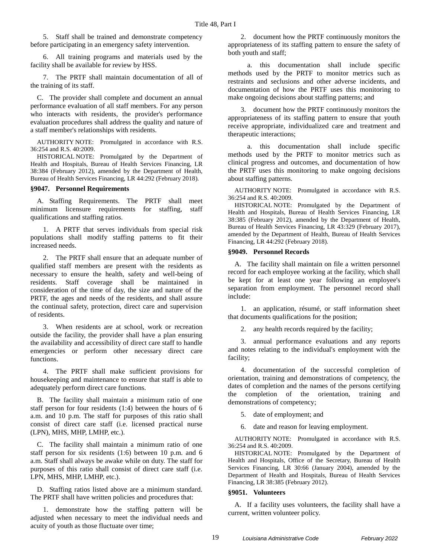5. Staff shall be trained and demonstrate competency before participating in an emergency safety intervention.

6. All training programs and materials used by the facility shall be available for review by HSS.

7. The PRTF shall maintain documentation of all of the training of its staff.

C. The provider shall complete and document an annual performance evaluation of all staff members. For any person who interacts with residents, the provider's performance evaluation procedures shall address the quality and nature of a staff member's relationships with residents.

AUTHORITY NOTE: Promulgated in accordance with R.S. 36:254 and R.S. 40:2009.

HISTORICAL NOTE: Promulgated by the Department of Health and Hospitals, Bureau of Health Services Financing, LR 38:384 (February 2012), amended by the Department of Health, Bureau of Health Services Financing, LR 44:292 (February 2018).

#### **§9047. Personnel Requirements**

A. Staffing Requirements. The PRTF shall meet minimum licensure requirements for staffing, staff qualifications and staffing ratios.

1. A PRTF that serves individuals from special risk populations shall modify staffing patterns to fit their increased needs.

2. The PRTF shall ensure that an adequate number of qualified staff members are present with the residents as necessary to ensure the health, safety and well-being of residents. Staff coverage shall be maintained in consideration of the time of day, the size and nature of the PRTF, the ages and needs of the residents, and shall assure the continual safety, protection, direct care and supervision of residents.

3. When residents are at school, work or recreation outside the facility, the provider shall have a plan ensuring the availability and accessibility of direct care staff to handle emergencies or perform other necessary direct care functions.

4. The PRTF shall make sufficient provisions for housekeeping and maintenance to ensure that staff is able to adequately perform direct care functions.

B. The facility shall maintain a minimum ratio of one staff person for four residents (1:4) between the hours of 6 a.m. and 10 p.m. The staff for purposes of this ratio shall consist of direct care staff (i.e. licensed practical nurse (LPN), MHS, MHP, LMHP, etc.).

C. The facility shall maintain a minimum ratio of one staff person for six residents (1:6) between 10 p.m. and 6 a.m. Staff shall always be awake while on duty. The staff for purposes of this ratio shall consist of direct care staff (i.e. LPN, MHS, MHP, LMHP, etc.).

D. Staffing ratios listed above are a minimum standard. The PRTF shall have written policies and procedures that:

1. demonstrate how the staffing pattern will be adjusted when necessary to meet the individual needs and acuity of youth as those fluctuate over time;

2. document how the PRTF continuously monitors the appropriateness of its staffing pattern to ensure the safety of both youth and staff;

a. this documentation shall include specific methods used by the PRTF to monitor metrics such as restraints and seclusions and other adverse incidents, and documentation of how the PRTF uses this monitoring to make ongoing decisions about staffing patterns; and

3. document how the PRTF continuously monitors the appropriateness of its staffing pattern to ensure that youth receive appropriate, individualized care and treatment and therapeutic interactions;

a. this documentation shall include specific methods used by the PRTF to monitor metrics such as clinical progress and outcomes, and documentation of how the PRTF uses this monitoring to make ongoing decisions about staffing patterns.

AUTHORITY NOTE: Promulgated in accordance with R.S. 36:254 and R.S. 40:2009.

HISTORICAL NOTE: Promulgated by the Department of Health and Hospitals, Bureau of Health Services Financing, LR 38:385 (February 2012), amended by the Department of Health, Bureau of Health Services Financing, LR 43:329 (February 2017), amended by the Department of Health, Bureau of Health Services Financing, LR 44:292 (February 2018).

#### **§9049. Personnel Records**

A. The facility shall maintain on file a written personnel record for each employee working at the facility, which shall be kept for at least one year following an employee's separation from employment. The personnel record shall include:

1. an application, résumé, or staff information sheet that documents qualifications for the position;

2. any health records required by the facility;

3. annual performance evaluations and any reports and notes relating to the individual's employment with the facility;

4. documentation of the successful completion of orientation, training and demonstrations of competency, the dates of completion and the names of the persons certifying the completion of the orientation, training and demonstrations of competency;

5. date of employment; and

6. date and reason for leaving employment.

AUTHORITY NOTE: Promulgated in accordance with R.S. 36:254 and R.S. 40:2009.

HISTORICAL NOTE: Promulgated by the Department of Health and Hospitals, Office of the Secretary, Bureau of Health Services Financing, LR 30:66 (January 2004), amended by the Department of Health and Hospitals, Bureau of Health Services Financing, LR 38:385 (February 2012).

#### **§9051. Volunteers**

A. If a facility uses volunteers, the facility shall have a current, written volunteer policy.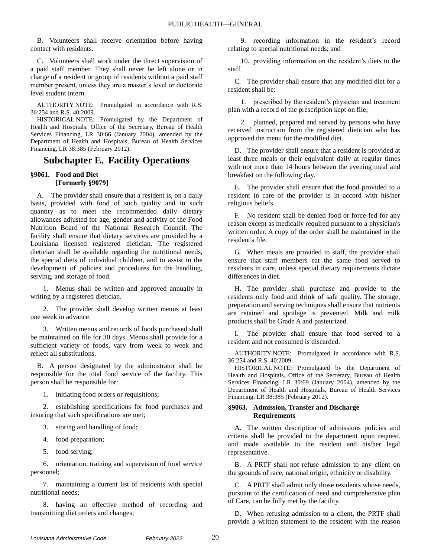B. Volunteers shall receive orientation before having contact with residents.

C. Volunteers shall work under the direct supervision of a paid staff member. They shall never be left alone or in charge of a resident or group of residents without a paid staff member present, unless they are a master's level or doctorate level student intern.

AUTHORITY NOTE: Promulgated in accordance with R.S. 36:254 and R.S. 40:2009.

HISTORICAL NOTE: Promulgated by the Department of Health and Hospitals, Office of the Secretary, Bureau of Health Services Financing, LR 30:66 (January 2004), amended by the Department of Health and Hospitals, Bureau of Health Services Financing, LR 38:385 (February 2012).

# **Subchapter E. Facility Operations**

# **§9061. Food and Diet [Formerly §9079]**

A. The provider shall ensure that a resident is, on a daily basis, provided with food of such quality and in such quantity as to meet the recommended daily dietary allowances adjusted for age, gender and activity of the Food Nutrition Board of the National Research Council. The facility shall ensure that dietary services are provided by a Louisiana licensed registered dietician. The registered dietician shall be available regarding the nutritional needs, the special diets of individual children, and to assist in the development of policies and procedures for the handling, serving, and storage of food.

1. Menus shall be written and approved annually in writing by a registered dietician.

2. The provider shall develop written menus at least one week in advance.

3. Written menus and records of foods purchased shall be maintained on file for 30 days. Menus shall provide for a sufficient variety of foods, vary from week to week and reflect all substitutions.

B. A person designated by the administrator shall be responsible for the total food service of the facility. This person shall be responsible for:

1. initiating food orders or requisitions;

2. establishing specifications for food purchases and insuring that such specifications are met;

3. storing and handling of food;

- 4. food preparation;
- 5. food serving;

6. orientation, training and supervision of food service personnel;

7. maintaining a current list of residents with special nutritional needs;

8. having an effective method of recording and transmitting diet orders and changes;

9. recording information in the resident's record relating to special nutritional needs; and

10. providing information on the resident's diets to the staff.

C. The provider shall ensure that any modified diet for a resident shall be:

1. prescribed by the resident's physician and treatment plan with a record of the prescription kept on file;

2. planned, prepared and served by persons who have received instruction from the registered dietician who has approved the menu for the modified diet.

D. The provider shall ensure that a resident is provided at least three meals or their equivalent daily at regular times with not more than 14 hours between the evening meal and breakfast on the following day.

E. The provider shall ensure that the food provided to a resident in care of the provider is in accord with his/her religious beliefs.

F. No resident shall be denied food or force-fed for any reason except as medically required pursuant to a physician's written order. A copy of the order shall be maintained in the resident's file.

G. When meals are provided to staff, the provider shall ensure that staff members eat the same food served to residents in care, unless special dietary requirements dictate differences in diet.

H. The provider shall purchase and provide to the residents only food and drink of safe quality. The storage, preparation and serving techniques shall ensure that nutrients are retained and spoilage is prevented. Milk and milk products shall be Grade A and pasteurized.

I. The provider shall ensure that food served to a resident and not consumed is discarded.

AUTHORITY NOTE: Promulgated in accordance with R.S. 36:254 and R.S. 40:2009.

HISTORICAL NOTE: Promulgated by the Department of Health and Hospitals, Office of the Secretary, Bureau of Health Services Financing, LR 30:69 (January 2004), amended by the Department of Health and Hospitals, Bureau of Health Services Financing, LR 38:385 (February 2012).

### **§9063. Admission, Transfer and Discharge Requirements**

A. The written description of admissions policies and criteria shall be provided to the department upon request, and made available to the resident and his/her legal representative.

B. A PRTF shall not refuse admission to any client on the grounds of race, national origin, ethnicity or disability.

C. A PRTF shall admit only those residents whose needs, pursuant to the certification of need and comprehensive plan of Care, can be fully met by the facility.

D. When refusing admission to a client, the PRTF shall provide a written statement to the resident with the reason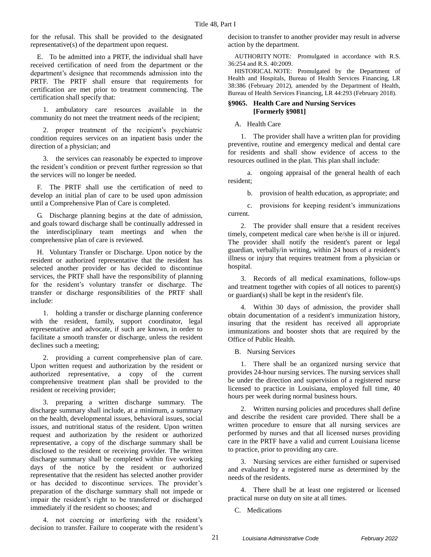for the refusal. This shall be provided to the designated representative(s) of the department upon request.

E. To be admitted into a PRTF, the individual shall have received certification of need from the department or the department's designee that recommends admission into the PRTF. The PRTF shall ensure that requirements for certification are met prior to treatment commencing. The certification shall specify that:

1. ambulatory care resources available in the community do not meet the treatment needs of the recipient;

2. proper treatment of the recipient's psychiatric condition requires services on an inpatient basis under the direction of a physician; and

3. the services can reasonably be expected to improve the resident's condition or prevent further regression so that the services will no longer be needed.

F. The PRTF shall use the certification of need to develop an initial plan of care to be used upon admission until a Comprehensive Plan of Care is completed.

G. Discharge planning begins at the date of admission, and goals toward discharge shall be continually addressed in the interdisciplinary team meetings and when the comprehensive plan of care is reviewed.

H. Voluntary Transfer or Discharge. Upon notice by the resident or authorized representative that the resident has selected another provider or has decided to discontinue services, the PRTF shall have the responsibility of planning for the resident's voluntary transfer or discharge. The transfer or discharge responsibilities of the PRTF shall include:

1. holding a transfer or discharge planning conference with the resident, family, support coordinator, legal representative and advocate, if such are known, in order to facilitate a smooth transfer or discharge, unless the resident declines such a meeting;

2. providing a current comprehensive plan of care. Upon written request and authorization by the resident or authorized representative, a copy of the current comprehensive treatment plan shall be provided to the resident or receiving provider;

3. preparing a written discharge summary. The discharge summary shall include, at a minimum, a summary on the health, developmental issues, behavioral issues, social issues, and nutritional status of the resident. Upon written request and authorization by the resident or authorized representative, a copy of the discharge summary shall be disclosed to the resident or receiving provider. The written discharge summary shall be completed within five working days of the notice by the resident or authorized representative that the resident has selected another provider or has decided to discontinue services. The provider's preparation of the discharge summary shall not impede or impair the resident's right to be transferred or discharged immediately if the resident so chooses; and

4. not coercing or interfering with the resident's decision to transfer. Failure to cooperate with the resident's decision to transfer to another provider may result in adverse action by the department.

AUTHORITY NOTE: Promulgated in accordance with R.S. 36:254 and R.S. 40:2009.

HISTORICAL NOTE: Promulgated by the Department of Health and Hospitals, Bureau of Health Services Financing, LR 38:386 (February 2012), amended by the Department of Health, Bureau of Health Services Financing, LR 44:293 (February 2018).

#### **§9065. Health Care and Nursing Services [Formerly §9081]**

A. Health Care

1. The provider shall have a written plan for providing preventive, routine and emergency medical and dental care for residents and shall show evidence of access to the resources outlined in the plan. This plan shall include:

a. ongoing appraisal of the general health of each resident;

b. provision of health education, as appropriate; and

c. provisions for keeping resident's immunizations current.

2. The provider shall ensure that a resident receives timely, competent medical care when he/she is ill or injured. The provider shall notify the resident's parent or legal guardian, verbally/in writing, within 24 hours of a resident's illness or injury that requires treatment from a physician or hospital.

3. Records of all medical examinations, follow-ups and treatment together with copies of all notices to parent(s) or guardian(s) shall be kept in the resident's file.

4. Within 30 days of admission, the provider shall obtain documentation of a resident's immunization history, insuring that the resident has received all appropriate immunizations and booster shots that are required by the Office of Public Health.

B. Nursing Services

1. There shall be an organized nursing service that provides 24-hour nursing services. The nursing services shall be under the direction and supervision of a registered nurse licensed to practice in Louisiana, employed full time, 40 hours per week during normal business hours.

2. Written nursing policies and procedures shall define and describe the resident care provided. There shall be a written procedure to ensure that all nursing services are performed by nurses and that all licensed nurses providing care in the PRTF have a valid and current Louisiana license to practice, prior to providing any care.

3. Nursing services are either furnished or supervised and evaluated by a registered nurse as determined by the needs of the residents.

4. There shall be at least one registered or licensed practical nurse on duty on site at all times.

C. Medications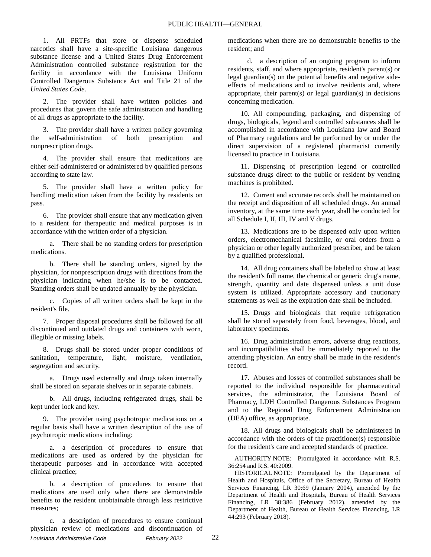1. All PRTFs that store or dispense scheduled narcotics shall have a site-specific Louisiana dangerous substance license and a United States Drug Enforcement Administration controlled substance registration for the facility in accordance with the Louisiana Uniform Controlled Dangerous Substance Act and Title 21 of the *United States Code*.

2. The provider shall have written policies and procedures that govern the safe administration and handling of all drugs as appropriate to the facility.

3. The provider shall have a written policy governing the self-administration of both prescription and nonprescription drugs.

4. The provider shall ensure that medications are either self-administered or administered by qualified persons according to state law.

5. The provider shall have a written policy for handling medication taken from the facility by residents on pass.

6. The provider shall ensure that any medication given to a resident for therapeutic and medical purposes is in accordance with the written order of a physician.

a. There shall be no standing orders for prescription medications.

b. There shall be standing orders, signed by the physician, for nonprescription drugs with directions from the physician indicating when he/she is to be contacted. Standing orders shall be updated annually by the physician.

c. Copies of all written orders shall be kept in the resident's file.

7. Proper disposal procedures shall be followed for all discontinued and outdated drugs and containers with worn, illegible or missing labels.

8. Drugs shall be stored under proper conditions of sanitation, temperature, light, moisture, ventilation, segregation and security.

a. Drugs used externally and drugs taken internally shall be stored on separate shelves or in separate cabinets.

b. All drugs, including refrigerated drugs, shall be kept under lock and key.

9. The provider using psychotropic medications on a regular basis shall have a written description of the use of psychotropic medications including:

a. a description of procedures to ensure that medications are used as ordered by the physician for therapeutic purposes and in accordance with accepted clinical practice;

b. a description of procedures to ensure that medications are used only when there are demonstrable benefits to the resident unobtainable through less restrictive measures;

*Louisiana Administrative Code February 2022* 22 c. a description of procedures to ensure continual physician review of medications and discontinuation of

medications when there are no demonstrable benefits to the resident; and

d. a description of an ongoing program to inform residents, staff, and where appropriate, resident's parent(s) or legal guardian(s) on the potential benefits and negative sideeffects of medications and to involve residents and, where appropriate, their parent(s) or legal guardian(s) in decisions concerning medication.

10. All compounding, packaging, and dispensing of drugs, biologicals, legend and controlled substances shall be accomplished in accordance with Louisiana law and Board of Pharmacy regulations and be performed by or under the direct supervision of a registered pharmacist currently licensed to practice in Louisiana.

11. Dispensing of prescription legend or controlled substance drugs direct to the public or resident by vending machines is prohibited.

12. Current and accurate records shall be maintained on the receipt and disposition of all scheduled drugs. An annual inventory, at the same time each year, shall be conducted for all Schedule I, II, III, IV and V drugs.

13. Medications are to be dispensed only upon written orders, electromechanical facsimile, or oral orders from a physician or other legally authorized prescriber, and be taken by a qualified professional.

14. All drug containers shall be labeled to show at least the resident's full name, the chemical or generic drug's name, strength, quantity and date dispensed unless a unit dose system is utilized. Appropriate accessory and cautionary statements as well as the expiration date shall be included.

15. Drugs and biologicals that require refrigeration shall be stored separately from food, beverages, blood, and laboratory specimens.

16. Drug administration errors, adverse drug reactions, and incompatibilities shall be immediately reported to the attending physician. An entry shall be made in the resident's record.

17. Abuses and losses of controlled substances shall be reported to the individual responsible for pharmaceutical services, the administrator, the Louisiana Board of Pharmacy, LDH Controlled Dangerous Substances Program and to the Regional Drug Enforcement Administration (DEA) office, as appropriate.

18. All drugs and biologicals shall be administered in accordance with the orders of the practitioner(s) responsible for the resident's care and accepted standards of practice.

AUTHORITY NOTE: Promulgated in accordance with R.S. 36:254 and R.S. 40:2009.

HISTORICAL NOTE: Promulgated by the Department of Health and Hospitals, Office of the Secretary, Bureau of Health Services Financing, LR 30:69 (January 2004), amended by the Department of Health and Hospitals, Bureau of Health Services Financing, LR 38:386 (February 2012), amended by the Department of Health, Bureau of Health Services Financing, LR 44:293 (February 2018).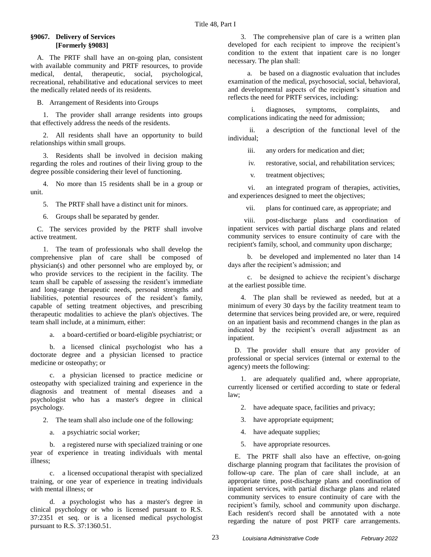### **§9067. Delivery of Services [Formerly §9083]**

A. The PRTF shall have an on-going plan, consistent with available community and PRTF resources, to provide medical, dental, therapeutic, social, psychological, recreational, rehabilitative and educational services to meet the medically related needs of its residents.

B. Arrangement of Residents into Groups

1. The provider shall arrange residents into groups that effectively address the needs of the residents.

2. All residents shall have an opportunity to build relationships within small groups.

3. Residents shall be involved in decision making regarding the roles and routines of their living group to the degree possible considering their level of functioning.

4. No more than 15 residents shall be in a group or unit.

5. The PRTF shall have a distinct unit for minors.

6. Groups shall be separated by gender.

C. The services provided by the PRTF shall involve active treatment.

1. The team of professionals who shall develop the comprehensive plan of care shall be composed of physician(s) and other personnel who are employed by, or who provide services to the recipient in the facility. The team shall be capable of assessing the resident's immediate and long-range therapeutic needs, personal strengths and liabilities, potential resources of the resident's family, capable of setting treatment objectives, and prescribing therapeutic modalities to achieve the plan's objectives. The team shall include, at a minimum, either:

a. a board-certified or board-eligible psychiatrist; or

b. a licensed clinical psychologist who has a doctorate degree and a physician licensed to practice medicine or osteopathy; or

c. a physician licensed to practice medicine or osteopathy with specialized training and experience in the diagnosis and treatment of mental diseases and a psychologist who has a master's degree in clinical psychology.

2. The team shall also include one of the following:

a. a psychiatric social worker;

b. a registered nurse with specialized training or one year of experience in treating individuals with mental illness;

c. a licensed occupational therapist with specialized training, or one year of experience in treating individuals with mental illness; or

d. a psychologist who has a master's degree in clinical psychology or who is licensed pursuant to R.S. 37:2351 et seq. or is a licensed medical psychologist pursuant to R.S. 37:1360.51.

3. The comprehensive plan of care is a written plan developed for each recipient to improve the recipient's condition to the extent that inpatient care is no longer necessary. The plan shall:

a. be based on a diagnostic evaluation that includes examination of the medical, psychosocial, social, behavioral, and developmental aspects of the recipient's situation and reflects the need for PRTF services, including:

i. diagnoses, symptoms, complaints, and complications indicating the need for admission;

ii. a description of the functional level of the individual;

iii. any orders for medication and diet;

iv. restorative, social, and rehabilitation services;

v. treatment objectives;

vi. an integrated program of therapies, activities, and experiences designed to meet the objectives;

vii. plans for continued care, as appropriate; and

viii. post-discharge plans and coordination of inpatient services with partial discharge plans and related community services to ensure continuity of care with the recipient's family, school, and community upon discharge;

b. be developed and implemented no later than 14 days after the recipient's admission; and

c. be designed to achieve the recipient's discharge at the earliest possible time.

4. The plan shall be reviewed as needed, but at a minimum of every 30 days by the facility treatment team to determine that services being provided are, or were, required on an inpatient basis and recommend changes in the plan as indicated by the recipient's overall adjustment as an inpatient.

D. The provider shall ensure that any provider of professional or special services (internal or external to the agency) meets the following:

1. are adequately qualified and, where appropriate, currently licensed or certified according to state or federal law;

2. have adequate space, facilities and privacy;

3. have appropriate equipment;

4. have adequate supplies;

5. have appropriate resources.

E. The PRTF shall also have an effective, on-going discharge planning program that facilitates the provision of follow-up care. The plan of care shall include, at an appropriate time, post-discharge plans and coordination of inpatient services, with partial discharge plans and related community services to ensure continuity of care with the recipient's family, school and community upon discharge. Each resident's record shall be annotated with a note regarding the nature of post PRTF care arrangements.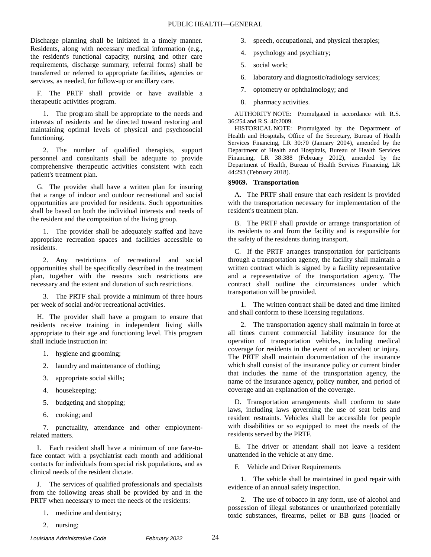Discharge planning shall be initiated in a timely manner. Residents, along with necessary medical information (e.g., the resident's functional capacity, nursing and other care requirements, discharge summary, referral forms) shall be transferred or referred to appropriate facilities, agencies or services, as needed, for follow-up or ancillary care.

F. The PRTF shall provide or have available a therapeutic activities program.

1. The program shall be appropriate to the needs and interests of residents and be directed toward restoring and maintaining optimal levels of physical and psychosocial functioning.

2. The number of qualified therapists, support personnel and consultants shall be adequate to provide comprehensive therapeutic activities consistent with each patient's treatment plan.

G. The provider shall have a written plan for insuring that a range of indoor and outdoor recreational and social opportunities are provided for residents. Such opportunities shall be based on both the individual interests and needs of the resident and the composition of the living group.

1. The provider shall be adequately staffed and have appropriate recreation spaces and facilities accessible to residents.

2. Any restrictions of recreational and social opportunities shall be specifically described in the treatment plan, together with the reasons such restrictions are necessary and the extent and duration of such restrictions.

3. The PRTF shall provide a minimum of three hours per week of social and/or recreational activities.

H. The provider shall have a program to ensure that residents receive training in independent living skills appropriate to their age and functioning level. This program shall include instruction in:

- 1. hygiene and grooming;
- 2. laundry and maintenance of clothing;
- 3. appropriate social skills;
- 4. housekeeping;
- 5. budgeting and shopping;
- 6. cooking; and

7. punctuality, attendance and other employmentrelated matters.

I. Each resident shall have a minimum of one face-toface contact with a psychiatrist each month and additional contacts for individuals from special risk populations, and as clinical needs of the resident dictate.

J. The services of qualified professionals and specialists from the following areas shall be provided by and in the PRTF when necessary to meet the needs of the residents:

- 1. medicine and dentistry;
- 2. nursing;
- 4. psychology and psychiatry;
- 5. social work;
- 6. laboratory and diagnostic/radiology services;
- 7. optometry or ophthalmology; and
- 8. pharmacy activities.

AUTHORITY NOTE: Promulgated in accordance with R.S. 36:254 and R.S. 40:2009.

HISTORICAL NOTE: Promulgated by the Department of Health and Hospitals, Office of the Secretary, Bureau of Health Services Financing, LR 30:70 (January 2004), amended by the Department of Health and Hospitals, Bureau of Health Services Financing, LR 38:388 (February 2012), amended by the Department of Health, Bureau of Health Services Financing, LR 44:293 (February 2018).

### **§9069. Transportation**

A. The PRTF shall ensure that each resident is provided with the transportation necessary for implementation of the resident's treatment plan.

B. The PRTF shall provide or arrange transportation of its residents to and from the facility and is responsible for the safety of the residents during transport.

C. If the PRTF arranges transportation for participants through a transportation agency, the facility shall maintain a written contract which is signed by a facility representative and a representative of the transportation agency. The contract shall outline the circumstances under which transportation will be provided.

1. The written contract shall be dated and time limited and shall conform to these licensing regulations.

2. The transportation agency shall maintain in force at all times current commercial liability insurance for the operation of transportation vehicles, including medical coverage for residents in the event of an accident or injury. The PRTF shall maintain documentation of the insurance which shall consist of the insurance policy or current binder that includes the name of the transportation agency, the name of the insurance agency, policy number, and period of coverage and an explanation of the coverage.

D. Transportation arrangements shall conform to state laws, including laws governing the use of seat belts and resident restraints. Vehicles shall be accessible for people with disabilities or so equipped to meet the needs of the residents served by the PRTF.

E. The driver or attendant shall not leave a resident unattended in the vehicle at any time.

F. Vehicle and Driver Requirements

1. The vehicle shall be maintained in good repair with evidence of an annual safety inspection.

2. The use of tobacco in any form, use of alcohol and possession of illegal substances or unauthorized potentially toxic substances, firearms, pellet or BB guns (loaded or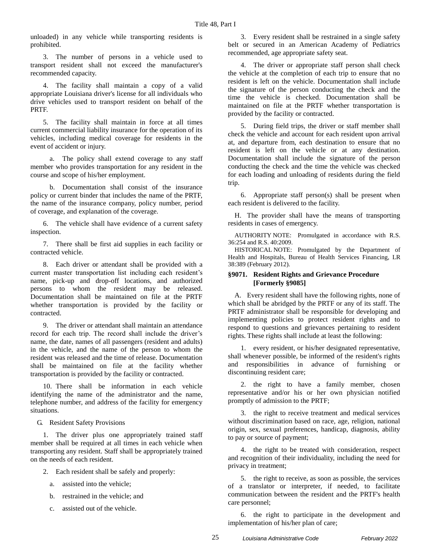unloaded) in any vehicle while transporting residents is prohibited.

3. The number of persons in a vehicle used to transport resident shall not exceed the manufacturer's recommended capacity.

4. The facility shall maintain a copy of a valid appropriate Louisiana driver's license for all individuals who drive vehicles used to transport resident on behalf of the PRTF.

5. The facility shall maintain in force at all times current commercial liability insurance for the operation of its vehicles, including medical coverage for residents in the event of accident or injury.

a. The policy shall extend coverage to any staff member who provides transportation for any resident in the course and scope of his/her employment.

b. Documentation shall consist of the insurance policy or current binder that includes the name of the PRTF, the name of the insurance company, policy number, period of coverage, and explanation of the coverage.

6. The vehicle shall have evidence of a current safety inspection.

7. There shall be first aid supplies in each facility or contracted vehicle.

8. Each driver or attendant shall be provided with a current master transportation list including each resident's name, pick-up and drop-off locations, and authorized persons to whom the resident may be released. Documentation shall be maintained on file at the PRTF whether transportation is provided by the facility or contracted.

9. The driver or attendant shall maintain an attendance record for each trip. The record shall include the driver's name, the date, names of all passengers (resident and adults) in the vehicle, and the name of the person to whom the resident was released and the time of release. Documentation shall be maintained on file at the facility whether transportation is provided by the facility or contracted.

10. There shall be information in each vehicle identifying the name of the administrator and the name, telephone number, and address of the facility for emergency situations.

G. Resident Safety Provisions

1. The driver plus one appropriately trained staff member shall be required at all times in each vehicle when transporting any resident. Staff shall be appropriately trained on the needs of each resident.

- 2. Each resident shall be safely and properly:
	- a. assisted into the vehicle;
	- b. restrained in the vehicle; and
	- c. assisted out of the vehicle.

3. Every resident shall be restrained in a single safety belt or secured in an American Academy of Pediatrics recommended, age appropriate safety seat.

4. The driver or appropriate staff person shall check the vehicle at the completion of each trip to ensure that no resident is left on the vehicle. Documentation shall include the signature of the person conducting the check and the time the vehicle is checked. Documentation shall be maintained on file at the PRTF whether transportation is provided by the facility or contracted.

5. During field trips, the driver or staff member shall check the vehicle and account for each resident upon arrival at, and departure from, each destination to ensure that no resident is left on the vehicle or at any destination. Documentation shall include the signature of the person conducting the check and the time the vehicle was checked for each loading and unloading of residents during the field trip.

6. Appropriate staff person(s) shall be present when each resident is delivered to the facility.

H. The provider shall have the means of transporting residents in cases of emergency.

AUTHORITY NOTE: Promulgated in accordance with R.S. 36:254 and R.S. 40:2009.

HISTORICAL NOTE: Promulgated by the Department of Health and Hospitals, Bureau of Health Services Financing, LR 38:389 (February 2012).

# **§9071. Resident Rights and Grievance Procedure [Formerly §9085]**

A. Every resident shall have the following rights, none of which shall be abridged by the PRTF or any of its staff. The PRTF administrator shall be responsible for developing and implementing policies to protect resident rights and to respond to questions and grievances pertaining to resident rights. These rights shall include at least the following:

1. every resident, or his/her designated representative, shall whenever possible, be informed of the resident's rights and responsibilities in advance of furnishing or discontinuing resident care;

2. the right to have a family member, chosen representative and/or his or her own physician notified promptly of admission to the PRTF;

3. the right to receive treatment and medical services without discrimination based on race, age, religion, national origin, sex, sexual preferences, handicap, diagnosis, ability to pay or source of payment;

4. the right to be treated with consideration, respect and recognition of their individuality, including the need for privacy in treatment;

5. the right to receive, as soon as possible, the services of a translator or interpreter, if needed, to facilitate communication between the resident and the PRTF's health care personnel;

6. the right to participate in the development and implementation of his/her plan of care;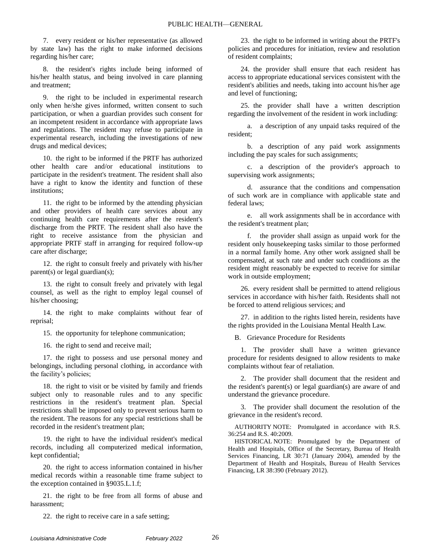7. every resident or his/her representative (as allowed by state law) has the right to make informed decisions regarding his/her care;

8. the resident's rights include being informed of his/her health status, and being involved in care planning and treatment;

9. the right to be included in experimental research only when he/she gives informed, written consent to such participation, or when a guardian provides such consent for an incompetent resident in accordance with appropriate laws and regulations. The resident may refuse to participate in experimental research, including the investigations of new drugs and medical devices;

10. the right to be informed if the PRTF has authorized other health care and/or educational institutions to participate in the resident's treatment. The resident shall also have a right to know the identity and function of these institutions;

11. the right to be informed by the attending physician and other providers of health care services about any continuing health care requirements after the resident's discharge from the PRTF. The resident shall also have the right to receive assistance from the physician and appropriate PRTF staff in arranging for required follow-up care after discharge;

12. the right to consult freely and privately with his/her parent(s) or legal guardian(s);

13. the right to consult freely and privately with legal counsel, as well as the right to employ legal counsel of his/her choosing;

14. the right to make complaints without fear of reprisal;

15. the opportunity for telephone communication;

16. the right to send and receive mail;

17. the right to possess and use personal money and belongings, including personal clothing, in accordance with the facility's policies;

18. the right to visit or be visited by family and friends subject only to reasonable rules and to any specific restrictions in the resident's treatment plan. Special restrictions shall be imposed only to prevent serious harm to the resident. The reasons for any special restrictions shall be recorded in the resident's treatment plan;

19. the right to have the individual resident's medical records, including all computerized medical information, kept confidential;

20. the right to access information contained in his/her medical records within a reasonable time frame subject to the exception contained in §9035.L.1.f;

21. the right to be free from all forms of abuse and harassment;

23. the right to be informed in writing about the PRTF's policies and procedures for initiation, review and resolution of resident complaints;

24. the provider shall ensure that each resident has access to appropriate educational services consistent with the resident's abilities and needs, taking into account his/her age and level of functioning;

25. the provider shall have a written description regarding the involvement of the resident in work including:

a. a description of any unpaid tasks required of the resident;

b. a description of any paid work assignments including the pay scales for such assignments;

c. a description of the provider's approach to supervising work assignments;

d. assurance that the conditions and compensation of such work are in compliance with applicable state and federal laws;

e. all work assignments shall be in accordance with the resident's treatment plan;

f. the provider shall assign as unpaid work for the resident only housekeeping tasks similar to those performed in a normal family home. Any other work assigned shall be compensated, at such rate and under such conditions as the resident might reasonably be expected to receive for similar work in outside employment;

26. every resident shall be permitted to attend religious services in accordance with his/her faith. Residents shall not be forced to attend religious services; and

27. in addition to the rights listed herein, residents have the rights provided in the Louisiana Mental Health Law.

B. Grievance Procedure for Residents

1. The provider shall have a written grievance procedure for residents designed to allow residents to make complaints without fear of retaliation.

2. The provider shall document that the resident and the resident's parent(s) or legal guardian(s) are aware of and understand the grievance procedure.

3. The provider shall document the resolution of the grievance in the resident's record.

AUTHORITY NOTE: Promulgated in accordance with R.S. 36:254 and R.S. 40:2009.

HISTORICAL NOTE: Promulgated by the Department of Health and Hospitals, Office of the Secretary, Bureau of Health Services Financing, LR 30:71 (January 2004), amended by the Department of Health and Hospitals, Bureau of Health Services Financing, LR 38:390 (February 2012).

22. the right to receive care in a safe setting;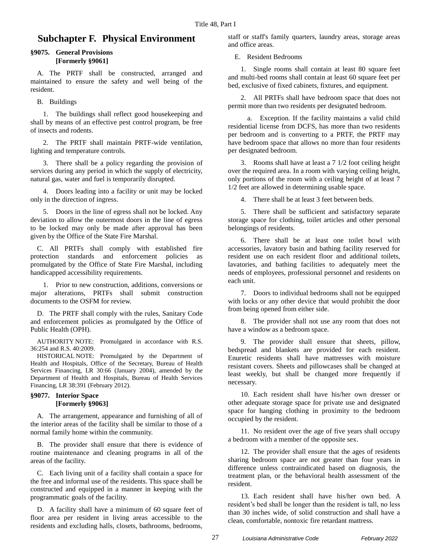# **Subchapter F. Physical Environment**

#### **§9075. General Provisions [Formerly §9061]**

A. The PRTF shall be constructed, arranged and maintained to ensure the safety and well being of the resident.

B. Buildings

1. The buildings shall reflect good housekeeping and shall by means of an effective pest control program, be free of insects and rodents.

2. The PRTF shall maintain PRTF-wide ventilation, lighting and temperature controls.

3. There shall be a policy regarding the provision of services during any period in which the supply of electricity, natural gas, water and fuel is temporarily disrupted.

4. Doors leading into a facility or unit may be locked only in the direction of ingress.

5. Doors in the line of egress shall not be locked. Any deviation to allow the outermost doors in the line of egress to be locked may only be made after approval has been given by the Office of the State Fire Marshal.

C. All PRTFs shall comply with established fire protection standards and enforcement policies as promulgated by the Office of State Fire Marshal, including handicapped accessibility requirements.

1. Prior to new construction, additions, conversions or major alterations, PRTFs shall submit construction documents to the OSFM for review.

D. The PRTF shall comply with the rules, Sanitary Code and enforcement policies as promulgated by the Office of Public Health (OPH).

AUTHORITY NOTE: Promulgated in accordance with R.S. 36:254 and R.S. 40:2009.

HISTORICAL NOTE: Promulgated by the Department of Health and Hospitals, Office of the Secretary, Bureau of Health Services Financing, LR 30:66 (January 2004), amended by the Department of Health and Hospitals, Bureau of Health Services Financing, LR 38:391 (February 2012).

#### **§9077. Interior Space [Formerly §9063]**

A. The arrangement, appearance and furnishing of all of the interior areas of the facility shall be similar to those of a normal family home within the community.

B. The provider shall ensure that there is evidence of routine maintenance and cleaning programs in all of the areas of the facility.

C. Each living unit of a facility shall contain a space for the free and informal use of the residents. This space shall be constructed and equipped in a manner in keeping with the programmatic goals of the facility.

D. A facility shall have a minimum of 60 square feet of floor area per resident in living areas accessible to the residents and excluding halls, closets, bathrooms, bedrooms,

staff or staff's family quarters, laundry areas, storage areas and office areas.

E. Resident Bedrooms

1. Single rooms shall contain at least 80 square feet and multi-bed rooms shall contain at least 60 square feet per bed, exclusive of fixed cabinets, fixtures, and equipment.

2. All PRTFs shall have bedroom space that does not permit more than two residents per designated bedroom.

a. Exception. If the facility maintains a valid child residential license from DCFS, has more than two residents per bedroom and is converting to a PRTF, the PRTF may have bedroom space that allows no more than four residents per designated bedroom.

3. Rooms shall have at least a 7 1/2 foot ceiling height over the required area. In a room with varying ceiling height, only portions of the room with a ceiling height of at least 7 1/2 feet are allowed in determining usable space.

4. There shall be at least 3 feet between beds.

5. There shall be sufficient and satisfactory separate storage space for clothing, toilet articles and other personal belongings of residents.

6. There shall be at least one toilet bowl with accessories, lavatory basin and bathing facility reserved for resident use on each resident floor and additional toilets, lavatories, and bathing facilities to adequately meet the needs of employees, professional personnel and residents on each unit.

7. Doors to individual bedrooms shall not be equipped with locks or any other device that would prohibit the door from being opened from either side.

8. The provider shall not use any room that does not have a window as a bedroom space.

9. The provider shall ensure that sheets, pillow, bedspread and blankets are provided for each resident. Enuretic residents shall have mattresses with moisture resistant covers. Sheets and pillowcases shall be changed at least weekly, but shall be changed more frequently if necessary.

10. Each resident shall have his/her own dresser or other adequate storage space for private use and designated space for hanging clothing in proximity to the bedroom occupied by the resident.

11. No resident over the age of five years shall occupy a bedroom with a member of the opposite sex.

12. The provider shall ensure that the ages of residents sharing bedroom space are not greater than four years in difference unless contraindicated based on diagnosis, the treatment plan, or the behavioral health assessment of the resident.

13. Each resident shall have his/her own bed. A resident's bed shall be longer than the resident is tall, no less than 30 inches wide, of solid construction and shall have a clean, comfortable, nontoxic fire retardant mattress.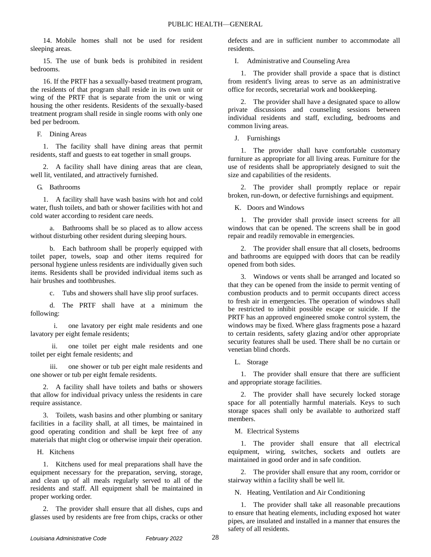14. Mobile homes shall not be used for resident sleeping areas.

15. The use of bunk beds is prohibited in resident bedrooms.

16. If the PRTF has a sexually-based treatment program, the residents of that program shall reside in its own unit or wing of the PRTF that is separate from the unit or wing housing the other residents. Residents of the sexually-based treatment program shall reside in single rooms with only one bed per bedroom.

F. Dining Areas

1. The facility shall have dining areas that permit residents, staff and guests to eat together in small groups.

2. A facility shall have dining areas that are clean, well lit, ventilated, and attractively furnished.

G. Bathrooms

1. A facility shall have wash basins with hot and cold water, flush toilets, and bath or shower facilities with hot and cold water according to resident care needs.

a. Bathrooms shall be so placed as to allow access without disturbing other resident during sleeping hours.

b. Each bathroom shall be properly equipped with toilet paper, towels, soap and other items required for personal hygiene unless residents are individually given such items. Residents shall be provided individual items such as hair brushes and toothbrushes.

c. Tubs and showers shall have slip proof surfaces.

d. The PRTF shall have at a minimum the following:

i. one lavatory per eight male residents and one lavatory per eight female residents;

ii. one toilet per eight male residents and one toilet per eight female residents; and

iii. one shower or tub per eight male residents and one shower or tub per eight female residents.

2. A facility shall have toilets and baths or showers that allow for individual privacy unless the residents in care require assistance.

3. Toilets, wash basins and other plumbing or sanitary facilities in a facility shall, at all times, be maintained in good operating condition and shall be kept free of any materials that might clog or otherwise impair their operation.

H. Kitchens

1. Kitchens used for meal preparations shall have the equipment necessary for the preparation, serving, storage, and clean up of all meals regularly served to all of the residents and staff. All equipment shall be maintained in proper working order.

2. The provider shall ensure that all dishes, cups and glasses used by residents are free from chips, cracks or other defects and are in sufficient number to accommodate all residents.

I. Administrative and Counseling Area

1. The provider shall provide a space that is distinct from resident's living areas to serve as an administrative office for records, secretarial work and bookkeeping.

2. The provider shall have a designated space to allow private discussions and counseling sessions between individual residents and staff, excluding, bedrooms and common living areas.

J. Furnishings

1. The provider shall have comfortable customary furniture as appropriate for all living areas. Furniture for the use of residents shall be appropriately designed to suit the size and capabilities of the residents.

2. The provider shall promptly replace or repair broken, run-down, or defective furnishings and equipment.

K. Doors and Windows

1. The provider shall provide insect screens for all windows that can be opened. The screens shall be in good repair and readily removable in emergencies.

2. The provider shall ensure that all closets, bedrooms and bathrooms are equipped with doors that can be readily opened from both sides.

3. Windows or vents shall be arranged and located so that they can be opened from the inside to permit venting of combustion products and to permit occupants direct access to fresh air in emergencies. The operation of windows shall be restricted to inhibit possible escape or suicide. If the PRTF has an approved engineered smoke control system, the windows may be fixed. Where glass fragments pose a hazard to certain residents, safety glazing and/or other appropriate security features shall be used. There shall be no curtain or venetian blind chords.

L. Storage

1. The provider shall ensure that there are sufficient and appropriate storage facilities.

2. The provider shall have securely locked storage space for all potentially harmful materials. Keys to such storage spaces shall only be available to authorized staff members.

M. Electrical Systems

1. The provider shall ensure that all electrical equipment, wiring, switches, sockets and outlets are maintained in good order and in safe condition.

2. The provider shall ensure that any room, corridor or stairway within a facility shall be well lit.

N. Heating, Ventilation and Air Conditioning

1. The provider shall take all reasonable precautions to ensure that heating elements, including exposed hot water pipes, are insulated and installed in a manner that ensures the safety of all residents.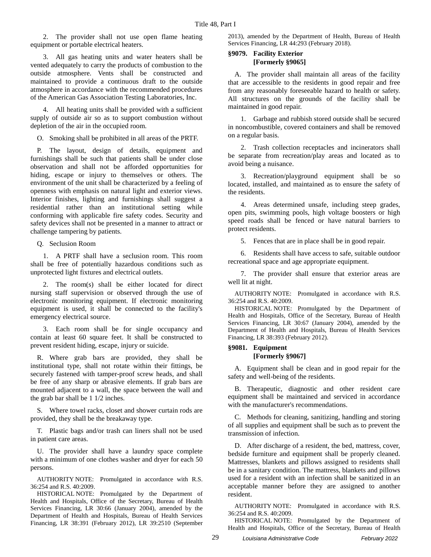2. The provider shall not use open flame heating equipment or portable electrical heaters.

3. All gas heating units and water heaters shall be vented adequately to carry the products of combustion to the outside atmosphere. Vents shall be constructed and maintained to provide a continuous draft to the outside atmosphere in accordance with the recommended procedures of the American Gas Association Testing Laboratories, Inc.

4. All heating units shall be provided with a sufficient supply of outside air so as to support combustion without depletion of the air in the occupied room.

O. Smoking shall be prohibited in all areas of the PRTF.

P. The layout, design of details, equipment and furnishings shall be such that patients shall be under close observation and shall not be afforded opportunities for hiding, escape or injury to themselves or others. The environment of the unit shall be characterized by a feeling of openness with emphasis on natural light and exterior views. Interior finishes, lighting and furnishings shall suggest a residential rather than an institutional setting while conforming with applicable fire safety codes. Security and safety devices shall not be presented in a manner to attract or challenge tampering by patients.

Q. Seclusion Room

1. A PRTF shall have a seclusion room. This room shall be free of potentially hazardous conditions such as unprotected light fixtures and electrical outlets.

2. The room(s) shall be either located for direct nursing staff supervision or observed through the use of electronic monitoring equipment. If electronic monitoring equipment is used, it shall be connected to the facility's emergency electrical source.

3. Each room shall be for single occupancy and contain at least 60 square feet. It shall be constructed to prevent resident hiding, escape, injury or suicide.

R. Where grab bars are provided, they shall be institutional type, shall not rotate within their fittings, be securely fastened with tamper-proof screw heads, and shall be free of any sharp or abrasive elements. If grab bars are mounted adjacent to a wall, the space between the wall and the grab bar shall be 1 1/2 inches.

S. Where towel racks, closet and shower curtain rods are provided, they shall be the breakaway type.

T. Plastic bags and/or trash can liners shall not be used in patient care areas.

U. The provider shall have a laundry space complete with a minimum of one clothes washer and dryer for each 50 persons.

AUTHORITY NOTE: Promulgated in accordance with R.S. 36:254 and R.S. 40:2009.

HISTORICAL NOTE: Promulgated by the Department of Health and Hospitals, Office of the Secretary, Bureau of Health Services Financing, LR 30:66 (January 2004), amended by the Department of Health and Hospitals, Bureau of Health Services Financing, LR 38:391 (February 2012), LR 39:2510 (September 2013), amended by the Department of Health, Bureau of Health Services Financing, LR 44:293 (February 2018).

# **§9079. Facility Exterior [Formerly §9065]**

A. The provider shall maintain all areas of the facility that are accessible to the residents in good repair and free from any reasonably foreseeable hazard to health or safety. All structures on the grounds of the facility shall be maintained in good repair.

1. Garbage and rubbish stored outside shall be secured in noncombustible, covered containers and shall be removed on a regular basis.

2. Trash collection receptacles and incinerators shall be separate from recreation/play areas and located as to avoid being a nuisance.

3. Recreation/playground equipment shall be so located, installed, and maintained as to ensure the safety of the residents.

4. Areas determined unsafe, including steep grades, open pits, swimming pools, high voltage boosters or high speed roads shall be fenced or have natural barriers to protect residents.

5. Fences that are in place shall be in good repair.

6. Residents shall have access to safe, suitable outdoor recreational space and age appropriate equipment.

7. The provider shall ensure that exterior areas are well lit at night.

AUTHORITY NOTE: Promulgated in accordance with R.S. 36:254 and R.S. 40:2009.

HISTORICAL NOTE: Promulgated by the Department of Health and Hospitals, Office of the Secretary, Bureau of Health Services Financing, LR 30:67 (January 2004), amended by the Department of Health and Hospitals, Bureau of Health Services Financing, LR 38:393 (February 2012).

# **§9081. Equipment**

#### **[Formerly §9067]**

A. Equipment shall be clean and in good repair for the safety and well-being of the residents.

B. Therapeutic, diagnostic and other resident care equipment shall be maintained and serviced in accordance with the manufacturer's recommendations.

C. Methods for cleaning, sanitizing, handling and storing of all supplies and equipment shall be such as to prevent the transmission of infection.

D. After discharge of a resident, the bed, mattress, cover, bedside furniture and equipment shall be properly cleaned. Mattresses, blankets and pillows assigned to residents shall be in a sanitary condition. The mattress, blankets and pillows used for a resident with an infection shall be sanitized in an acceptable manner before they are assigned to another resident.

AUTHORITY NOTE: Promulgated in accordance with R.S. 36:254 and R.S. 40:2009.

HISTORICAL NOTE: Promulgated by the Department of Health and Hospitals, Office of the Secretary, Bureau of Health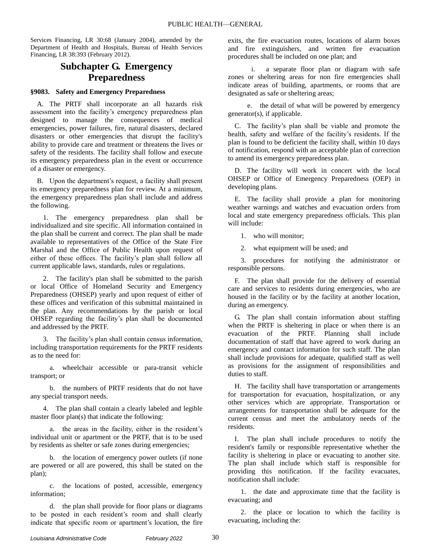Services Financing, LR 30:68 (January 2004), amended by the Department of Health and Hospitals, Bureau of Health Services Financing, LR 38:393 (February 2012).

# **Subchapter G. Emergency Preparedness**

# **§9083. Safety and Emergency Preparedness**

A. The PRTF shall incorporate an all hazards risk assessment into the facility's emergency preparedness plan designed to manage the consequences of medical emergencies, power failures, fire, natural disasters, declared disasters or other emergencies that disrupt the facility's ability to provide care and treatment or threatens the lives or safety of the residents. The facility shall follow and execute its emergency preparedness plan in the event or occurrence of a disaster or emergency.

B. Upon the department's request, a facility shall present its emergency preparedness plan for review. At a minimum, the emergency preparedness plan shall include and address the following.

1. The emergency preparedness plan shall be individualized and site specific. All information contained in the plan shall be current and correct. The plan shall be made available to representatives of the Office of the State Fire Marshal and the Office of Public Health upon request of either of these offices. The facility's plan shall follow all current applicable laws, standards, rules or regulations.

2. The facility's plan shall be submitted to the parish or local Office of Homeland Security and Emergency Preparedness (OHSEP) yearly and upon request of either of these offices and verification of this submittal maintained in the plan. Any recommendations by the parish or local OHSEP regarding the facility's plan shall be documented and addressed by the PRTF.

3. The facility's plan shall contain census information, including transportation requirements for the PRTF residents as to the need for:

a. wheelchair accessible or para-transit vehicle transport; or

b. the numbers of PRTF residents that do not have any special transport needs.

4. The plan shall contain a clearly labeled and legible master floor plan(s) that indicate the following:

a. the areas in the facility, either in the resident's individual unit or apartment or the PRTF, that is to be used by residents as shelter or safe zones during emergencies;

b. the location of emergency power outlets (if none are powered or all are powered, this shall be stated on the plan);

c. the locations of posted, accessible, emergency information;

d. the plan shall provide for floor plans or diagrams to be posted in each resident's room and shall clearly indicate that specific room or apartment's location, the fire exits, the fire evacuation routes, locations of alarm boxes and fire extinguishers, and written fire evacuation procedures shall be included on one plan; and

i. a separate floor plan or diagram with safe zones or sheltering areas for non fire emergencies shall indicate areas of building, apartments, or rooms that are designated as safe or sheltering areas;

e. the detail of what will be powered by emergency generator(s), if applicable.

C. The facility's plan shall be viable and promote the health, safety and welfare of the facility's residents. If the plan is found to be deficient the facility shall, within 10 days of notification, respond with an acceptable plan of correction to amend its emergency preparedness plan.

D. The facility will work in concert with the local OHSEP or Office of Emergency Preparedness (OEP) in developing plans.

E. The facility shall provide a plan for monitoring weather warnings and watches and evacuation orders from local and state emergency preparedness officials. This plan will include:

1. who will monitor;

2. what equipment will be used; and

3. procedures for notifying the administrator or responsible persons.

F. The plan shall provide for the delivery of essential care and services to residents during emergencies, who are housed in the facility or by the facility at another location, during an emergency.

G. The plan shall contain information about staffing when the PRTF is sheltering in place or when there is an evacuation of the PRTF. Planning shall include documentation of staff that have agreed to work during an emergency and contact information for such staff. The plan shall include provisions for adequate, qualified staff as well as provisions for the assignment of responsibilities and duties to staff.

H. The facility shall have transportation or arrangements for transportation for evacuation, hospitalization, or any other services which are appropriate. Transportation or arrangements for transportation shall be adequate for the current census and meet the ambulatory needs of the residents.

I. The plan shall include procedures to notify the resident's family or responsible representative whether the facility is sheltering in place or evacuating to another site. The plan shall include which staff is responsible for providing this notification. If the facility evacuates, notification shall include:

1. the date and approximate time that the facility is evacuating; and

2. the place or location to which the facility is evacuating, including the: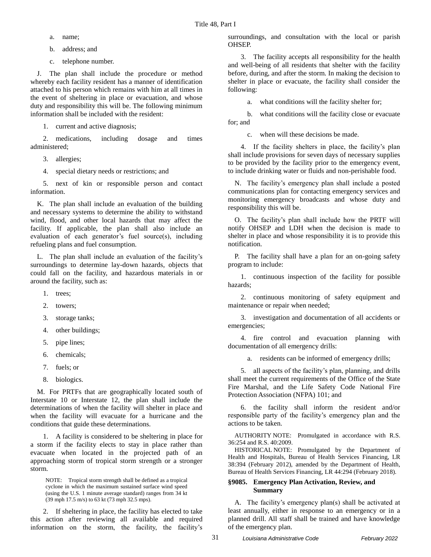- a. name;
- b. address; and
- c. telephone number.

J. The plan shall include the procedure or method whereby each facility resident has a manner of identification attached to his person which remains with him at all times in the event of sheltering in place or evacuation, and whose duty and responsibility this will be. The following minimum information shall be included with the resident:

1. current and active diagnosis;

2. medications, including dosage and times administered;

3. allergies;

4. special dietary needs or restrictions; and

5. next of kin or responsible person and contact information.

K. The plan shall include an evaluation of the building and necessary systems to determine the ability to withstand wind, flood, and other local hazards that may affect the facility. If applicable, the plan shall also include an evaluation of each generator's fuel source(s), including refueling plans and fuel consumption.

L. The plan shall include an evaluation of the facility's surroundings to determine lay-down hazards, objects that could fall on the facility, and hazardous materials in or around the facility, such as:

- 1. trees;
- 2. towers;
- 3. storage tanks;
- 4. other buildings;
- 5. pipe lines;
- 6. chemicals;
- 7. fuels; or
- 8. biologics.

M. For PRTFs that are geographically located south of Interstate 10 or Interstate 12, the plan shall include the determinations of when the facility will shelter in place and when the facility will evacuate for a hurricane and the conditions that guide these determinations.

1. A facility is considered to be sheltering in place for a storm if the facility elects to stay in place rather than evacuate when located in the projected path of an approaching storm of tropical storm strength or a stronger storm.

NOTE: Tropical storm strength shall be defined as a tropical cyclone in which the maximum sustained surface wind speed (using the U.S. 1 minute average standard) ranges from 34 kt (39 mph 17.5 m/s) to 63 kt (73 mph 32.5 mps).

2. If sheltering in place, the facility has elected to take this action after reviewing all available and required information on the storm, the facility, the facility's surroundings, and consultation with the local or parish OHSEP.

3. The facility accepts all responsibility for the health and well-being of all residents that shelter with the facility before, during, and after the storm. In making the decision to shelter in place or evacuate, the facility shall consider the following:

a. what conditions will the facility shelter for;

b. what conditions will the facility close or evacuate for; and

c. when will these decisions be made.

4. If the facility shelters in place, the facility's plan shall include provisions for seven days of necessary supplies to be provided by the facility prior to the emergency event, to include drinking water or fluids and non-perishable food.

N. The facility's emergency plan shall include a posted communications plan for contacting emergency services and monitoring emergency broadcasts and whose duty and responsibility this will be.

O. The facility's plan shall include how the PRTF will notify OHSEP and LDH when the decision is made to shelter in place and whose responsibility it is to provide this notification.

P. The facility shall have a plan for an on-going safety program to include:

1. continuous inspection of the facility for possible hazards;

2. continuous monitoring of safety equipment and maintenance or repair when needed;

3. investigation and documentation of all accidents or emergencies;

4. fire control and evacuation planning with documentation of all emergency drills:

a. residents can be informed of emergency drills;

5. all aspects of the facility's plan, planning, and drills shall meet the current requirements of the Office of the State Fire Marshal, and the Life Safety Code National Fire Protection Association (NFPA) 101; and

6. the facility shall inform the resident and/or responsible party of the facility's emergency plan and the actions to be taken.

AUTHORITY NOTE: Promulgated in accordance with R.S. 36:254 and R.S. 40:2009.

HISTORICAL NOTE: Promulgated by the Department of Health and Hospitals, Bureau of Health Services Financing, LR 38:394 (February 2012), amended by the Department of Health, Bureau of Health Services Financing, LR 44:294 (February 2018).

### **§9085. Emergency Plan Activation, Review, and Summary**

A. The facility's emergency plan(s) shall be activated at least annually, either in response to an emergency or in a planned drill. All staff shall be trained and have knowledge of the emergency plan.

31 *Louisiana Administrative Code February 2022*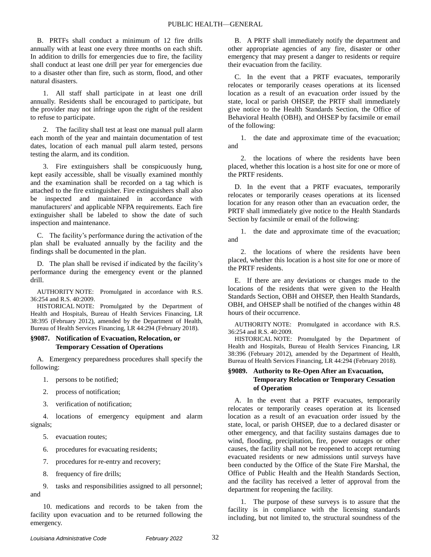B. PRTFs shall conduct a minimum of 12 fire drills annually with at least one every three months on each shift. In addition to drills for emergencies due to fire, the facility shall conduct at least one drill per year for emergencies due to a disaster other than fire, such as storm, flood, and other natural disasters.

1. All staff shall participate in at least one drill annually. Residents shall be encouraged to participate, but the provider may not infringe upon the right of the resident to refuse to participate.

2. The facility shall test at least one manual pull alarm each month of the year and maintain documentation of test dates, location of each manual pull alarm tested, persons testing the alarm, and its condition.

3. Fire extinguishers shall be conspicuously hung, kept easily accessible, shall be visually examined monthly and the examination shall be recorded on a tag which is attached to the fire extinguisher. Fire extinguishers shall also be inspected and maintained in accordance with manufacturers' and applicable NFPA requirements. Each fire extinguisher shall be labeled to show the date of such inspection and maintenance.

C. The facility's performance during the activation of the plan shall be evaluated annually by the facility and the findings shall be documented in the plan.

D. The plan shall be revised if indicated by the facility's performance during the emergency event or the planned drill.

AUTHORITY NOTE: Promulgated in accordance with R.S. 36:254 and R.S. 40:2009.

HISTORICAL NOTE: Promulgated by the Department of Health and Hospitals, Bureau of Health Services Financing, LR 38:395 (February 2012), amended by the Department of Health, Bureau of Health Services Financing, LR 44:294 (February 2018).

### **§9087. Notification of Evacuation, Relocation, or Temporary Cessation of Operations**

A. Emergency preparedness procedures shall specify the following:

- 1. persons to be notified;
- 2. process of notification;
- 3. verification of notification;

4. locations of emergency equipment and alarm signals;

- 5. evacuation routes;
- 6. procedures for evacuating residents;
- 7. procedures for re-entry and recovery;
- 8. frequency of fire drills;

9. tasks and responsibilities assigned to all personnel; and

10. medications and records to be taken from the facility upon evacuation and to be returned following the emergency.

B. A PRTF shall immediately notify the department and other appropriate agencies of any fire, disaster or other emergency that may present a danger to residents or require their evacuation from the facility.

C. In the event that a PRTF evacuates, temporarily relocates or temporarily ceases operations at its licensed location as a result of an evacuation order issued by the state, local or parish OHSEP, the PRTF shall immediately give notice to the Health Standards Section, the Office of Behavioral Health (OBH), and OHSEP by facsimile or email of the following:

1. the date and approximate time of the evacuation; and

2. the locations of where the residents have been placed, whether this location is a host site for one or more of the PRTF residents.

D. In the event that a PRTF evacuates, temporarily relocates or temporarily ceases operations at its licensed location for any reason other than an evacuation order, the PRTF shall immediately give notice to the Health Standards Section by facsimile or email of the following:

1. the date and approximate time of the evacuation; and

2. the locations of where the residents have been placed, whether this location is a host site for one or more of the PRTF residents.

E. If there are any deviations or changes made to the locations of the residents that were given to the Health Standards Section, OBH and OHSEP, then Health Standards, OBH, and OHSEP shall be notified of the changes within 48 hours of their occurrence.

AUTHORITY NOTE: Promulgated in accordance with R.S. 36:254 and R.S. 40:2009.

HISTORICAL NOTE: Promulgated by the Department of Health and Hospitals, Bureau of Health Services Financing, LR 38:396 (February 2012), amended by the Department of Health, Bureau of Health Services Financing, LR 44:294 (February 2018).

# **§9089. Authority to Re-Open After an Evacuation, Temporary Relocation or Temporary Cessation of Operation**

A. In the event that a PRTF evacuates, temporarily relocates or temporarily ceases operation at its licensed location as a result of an evacuation order issued by the state, local, or parish OHSEP, due to a declared disaster or other emergency, and that facility sustains damages due to wind, flooding, precipitation, fire, power outages or other causes, the facility shall not be reopened to accept returning evacuated residents or new admissions until surveys have been conducted by the Office of the State Fire Marshal, the Office of Public Health and the Health Standards Section, and the facility has received a letter of approval from the department for reopening the facility.

1. The purpose of these surveys is to assure that the facility is in compliance with the licensing standards including, but not limited to, the structural soundness of the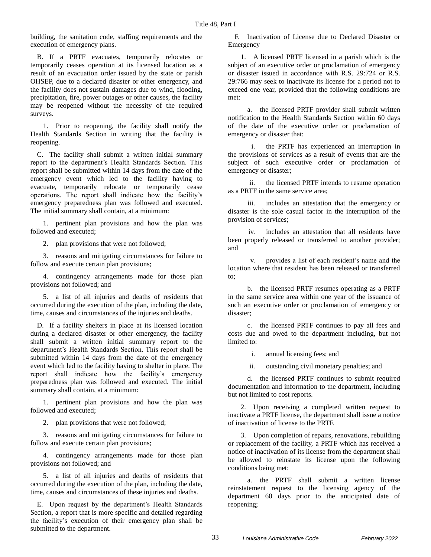building, the sanitation code, staffing requirements and the execution of emergency plans.

B. If a PRTF evacuates, temporarily relocates or temporarily ceases operation at its licensed location as a result of an evacuation order issued by the state or parish OHSEP, due to a declared disaster or other emergency, and the facility does not sustain damages due to wind, flooding, precipitation, fire, power outages or other causes, the facility may be reopened without the necessity of the required surveys.

1. Prior to reopening, the facility shall notify the Health Standards Section in writing that the facility is reopening.

C. The facility shall submit a written initial summary report to the department's Health Standards Section. This report shall be submitted within 14 days from the date of the emergency event which led to the facility having to evacuate, temporarily relocate or temporarily cease operations. The report shall indicate how the facility's emergency preparedness plan was followed and executed. The initial summary shall contain, at a minimum:

1. pertinent plan provisions and how the plan was followed and executed;

2. plan provisions that were not followed;

3. reasons and mitigating circumstances for failure to follow and execute certain plan provisions;

4. contingency arrangements made for those plan provisions not followed; and

5. a list of all injuries and deaths of residents that occurred during the execution of the plan, including the date, time, causes and circumstances of the injuries and deaths.

D. If a facility shelters in place at its licensed location during a declared disaster or other emergency, the facility shall submit a written initial summary report to the department's Health Standards Section. This report shall be submitted within 14 days from the date of the emergency event which led to the facility having to shelter in place. The report shall indicate how the facility's emergency preparedness plan was followed and executed. The initial summary shall contain, at a minimum:

1. pertinent plan provisions and how the plan was followed and executed;

2. plan provisions that were not followed;

3. reasons and mitigating circumstances for failure to follow and execute certain plan provisions;

4. contingency arrangements made for those plan provisions not followed; and

5. a list of all injuries and deaths of residents that occurred during the execution of the plan, including the date, time, causes and circumstances of these injuries and deaths.

E. Upon request by the department's Health Standards Section, a report that is more specific and detailed regarding the facility's execution of their emergency plan shall be submitted to the department.

F. Inactivation of License due to Declared Disaster or Emergency

1. A licensed PRTF licensed in a parish which is the subject of an executive order or proclamation of emergency or disaster issued in accordance with R.S. 29:724 or R.S. 29:766 may seek to inactivate its license for a period not to exceed one year, provided that the following conditions are met:

a. the licensed PRTF provider shall submit written notification to the Health Standards Section within 60 days of the date of the executive order or proclamation of emergency or disaster that:

i. the PRTF has experienced an interruption in the provisions of services as a result of events that are the subject of such executive order or proclamation of emergency or disaster;

ii. the licensed PRTF intends to resume operation as a PRTF in the same service area;

iii. includes an attestation that the emergency or disaster is the sole casual factor in the interruption of the provision of services;

iv. includes an attestation that all residents have been properly released or transferred to another provider; and

v. provides a list of each resident's name and the location where that resident has been released or transferred to;

b. the licensed PRTF resumes operating as a PRTF in the same service area within one year of the issuance of such an executive order or proclamation of emergency or disaster;

c. the licensed PRTF continues to pay all fees and costs due and owed to the department including, but not limited to:

i. annual licensing fees; and

ii. outstanding civil monetary penalties; and

d. the licensed PRTF continues to submit required documentation and information to the department, including but not limited to cost reports.

2. Upon receiving a completed written request to inactivate a PRTF license, the department shall issue a notice of inactivation of license to the PRTF.

3. Upon completion of repairs, renovations, rebuilding or replacement of the facility, a PRTF which has received a notice of inactivation of its license from the department shall be allowed to reinstate its license upon the following conditions being met:

a. the PRTF shall submit a written license reinstatement request to the licensing agency of the department 60 days prior to the anticipated date of reopening;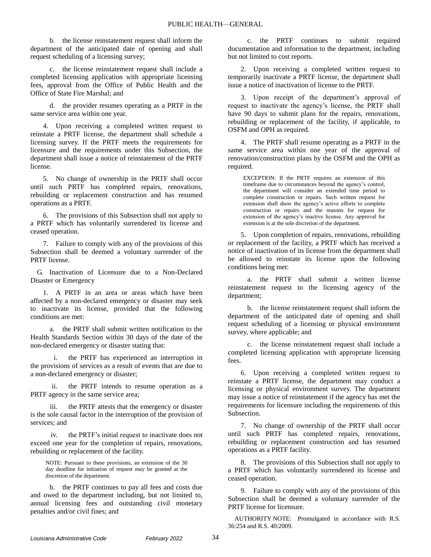b. the license reinstatement request shall inform the department of the anticipated date of opening and shall request scheduling of a licensing survey;

c. the license reinstatement request shall include a completed licensing application with appropriate licensing fees, approval from the Office of Public Health and the Office of State Fire Marshal; and

d. the provider resumes operating as a PRTF in the same service area within one year.

4. Upon receiving a completed written request to reinstate a PRTF license, the department shall schedule a licensing survey. If the PRTF meets the requirements for licensure and the requirements under this Subsection, the department shall issue a notice of reinstatement of the PRTF license.

5. No change of ownership in the PRTF shall occur until such PRTF has completed repairs, renovations, rebuilding or replacement construction and has resumed operations as a PRTF.

6. The provisions of this Subsection shall not apply to a PRTF which has voluntarily surrendered its license and ceased operation.

7. Failure to comply with any of the provisions of this Subsection shall be deemed a voluntary surrender of the PRTF license.

G. Inactivation of Licensure due to a Non-Declared Disaster or Emergency

1. A PRTF in an area or areas which have been affected by a non-declared emergency or disaster may seek to inactivate its license, provided that the following conditions are met:

a. the PRTF shall submit written notification to the Health Standards Section within 30 days of the date of the non-declared emergency or disaster stating that:

i. the PRTF has experienced an interruption in the provisions of services as a result of events that are due to a non-declared emergency or disaster;

ii. the PRTF intends to resume operation as a PRTF agency in the same service area;

the PRTF attests that the emergency or disaster is the sole causal factor in the interruption of the provision of services; and

iv. the PRTF's initial request to inactivate does not exceed one year for the completion of repairs, renovations, rebuilding or replacement of the facility.

NOTE: Pursuant to these provisions, an extension of the 30 day deadline for initiation of request may be granted at the discretion of the department.

b. the PRTF continues to pay all fees and costs due and owed to the department including, but not limited to, annual licensing fees and outstanding civil monetary penalties and/or civil fines; and

c. the PRTF continues to submit required documentation and information to the department, including but not limited to cost reports.

2. Upon receiving a completed written request to temporarily inactivate a PRTF license, the department shall issue a notice of inactivation of license to the PRTF.

3. Upon receipt of the department's approval of request to inactivate the agency's license, the PRTF shall have 90 days to submit plans for the repairs, renovations, rebuilding or replacement of the facility, if applicable, to OSFM and OPH as required.

4. The PRTF shall resume operating as a PRTF in the same service area within one year of the approval of renovation/construction plans by the OSFM and the OPH as required.

EXCEPTION: If the PRTF requires an extension of this timeframe due to circumstances beyond the agency's control, the department will consider an extended time period to complete construction or repairs. Such written request for extension shall show the agency's active efforts to complete construction or repairs and the reasons for request for extension of the agency's inactive license. Any approval for extension is at the sole discretion of the department.

5. Upon completion of repairs, renovations, rebuilding or replacement of the facility, a PRTF which has received a notice of inactivation of its license from the department shall be allowed to reinstate its license upon the following conditions being met:

a. the PRTF shall submit a written license reinstatement request to the licensing agency of the department;

b. the license reinstatement request shall inform the department of the anticipated date of opening and shall request scheduling of a licensing or physical environment survey, where applicable; and

c. the license reinstatement request shall include a completed licensing application with appropriate licensing fees.

6. Upon receiving a completed written request to reinstate a PRTF license, the department may conduct a licensing or physical environment survey. The department may issue a notice of reinstatement if the agency has met the requirements for licensure including the requirements of this Subsection.

7. No change of ownership of the PRTF shall occur until such PRTF has completed repairs, renovations, rebuilding or replacement construction and has resumed operations as a PRTF facility.

8. The provisions of this Subsection shall not apply to a PRTF which has voluntarily surrendered its license and ceased operation.

9. Failure to comply with any of the provisions of this Subsection shall be deemed a voluntary surrender of the PRTF license for licensure.

AUTHORITY NOTE: Promulgated in accordance with R.S. 36:254 and R.S. 40:2009.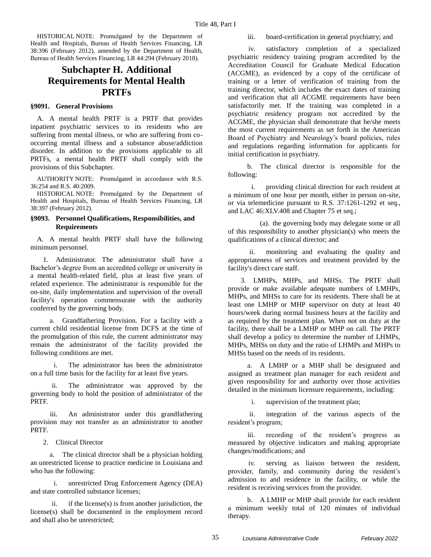HISTORICAL NOTE: Promulgated by the Department of Health and Hospitals, Bureau of Health Services Financing, LR 38:396 (February 2012), amended by the Department of Health, Bureau of Health Services Financing, LR 44:294 (February 2018).

# **Subchapter H. Additional Requirements for Mental Health PRTFs**

### **§9091. General Provisions**

A. A mental health PRTF is a PRTF that provides inpatient psychiatric services to its residents who are suffering from mental illness, or who are suffering from cooccurring mental illness and a substance abuse/addiction disorder. In addition to the provisions applicable to all PRTFs, a mental health PRTF shall comply with the provisions of this Subchapter.

AUTHORITY NOTE: Promulgated in accordance with R.S. 36:254 and R.S. 40:2009.

HISTORICAL NOTE: Promulgated by the Department of Health and Hospitals, Bureau of Health Services Financing, LR 38:397 (February 2012).

# **§9093. Personnel Qualifications, Responsibilities, and Requirements**

A. A mental health PRTF shall have the following minimum personnel.

1. Administrator. The administrator shall have a Bachelor's degree from an accredited college or university in a mental health-related field, plus at least five years of related experience. The administrator is responsible for the on-site, daily implementation and supervision of the overall facility's operation commensurate with the authority conferred by the governing body.

a. Grandfathering Provision. For a facility with a current child residential license from DCFS at the time of the promulgation of this rule, the current administrator may remain the administrator of the facility provided the following conditions are met.

i. The administrator has been the administrator on a full time basis for the facility for at least five years.

ii. The administrator was approved by the governing body to hold the position of administrator of the PRTF.

iii. An administrator under this grandfathering provision may not transfer as an administrator to another PRTF.

2. Clinical Director

a. The clinical director shall be a physician holding an unrestricted license to practice medicine in Louisiana and who has the following:

i. unrestricted Drug Enforcement Agency (DEA) and state controlled substance licenses;

ii. if the license(s) is from another jurisdiction, the license(s) shall be documented in the employment record and shall also be unrestricted;

#### iii. board-certification in general psychiatry; and

iv. satisfactory completion of a specialized psychiatric residency training program accredited by the Accreditation Council for Graduate Medical Education (ACGME), as evidenced by a copy of the certificate of training or a letter of verification of training from the training director, which includes the exact dates of training and verification that all ACGME requirements have been satisfactorily met. If the training was completed in a psychiatric residency program not accredited by the ACGME, the physician shall demonstrate that he/she meets the most current requirements as set forth in the American Board of Psychiatry and Neurology's board policies, rules and regulations regarding information for applicants for initial certification in psychiatry.

b. The clinical director is responsible for the following:

i. providing clinical direction for each resident at a minimum of one hour per month, either in person on-site, or via telemedicine pursuant to R.S. 37:1261-1292 et seq., and LAC 46:XLV.408 and Chapter 75 et seq.;

(a). the governing body may delegate some or all of this responsibility to another physician(s) who meets the qualifications of a clinical director; and

ii. monitoring and evaluating the quality and appropriateness of services and treatment provided by the facility's direct care staff.

3. LMHPs, MHPs, and MHSs. The PRTF shall provide or make available adequate numbers of LMHPs, MHPs, and MHSs to care for its residents. There shall be at least one LMHP or MHP supervisor on duty at least 40 hours/week during normal business hours at the facility and as required by the treatment plan. When not on duty at the facility, there shall be a LMHP or MHP on call. The PRTF shall develop a policy to determine the number of LHMPs, MHPs, MHSs on duty and the ratio of LHMPs and MHPs to MHSs based on the needs of its residents.

a. A LMHP or a MHP shall be designated and assigned as treatment plan manager for each resident and given responsibility for and authority over those activities detailed in the minimum licensure requirements, including:

i. supervision of the treatment plan;

ii. integration of the various aspects of the resident's program;

iii. recording of the resident's progress as measured by objective indicators and making appropriate changes/modifications; and

iv. serving as liaison between the resident, provider, family, and community during the resident's admission to and residence in the facility, or while the resident is receiving services from the provider.

b. A LMHP or MHP shall provide for each resident a minimum weekly total of 120 minutes of individual therapy.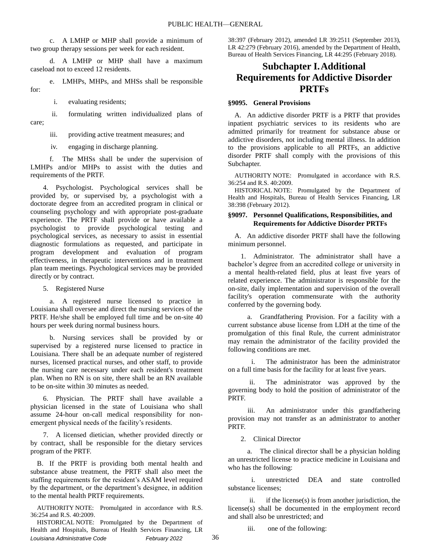c. A LMHP or MHP shall provide a minimum of two group therapy sessions per week for each resident.

d. A LMHP or MHP shall have a maximum caseload not to exceed 12 residents.

e. LMHPs, MHPs, and MHSs shall be responsible for:

i. evaluating residents;

ii. formulating written individualized plans of care;

iii. providing active treatment measures; and

iv. engaging in discharge planning.

f. The MHSs shall be under the supervision of LMHPs and/or MHPs to assist with the duties and requirements of the PRTF.

4. Psychologist. Psychological services shall be provided by, or supervised by, a psychologist with a doctorate degree from an accredited program in clinical or counseling psychology and with appropriate post-graduate experience. The PRTF shall provide or have available a psychologist to provide psychological testing and psychological services, as necessary to assist in essential diagnostic formulations as requested, and participate in program development and evaluation of program effectiveness, in therapeutic interventions and in treatment plan team meetings. Psychological services may be provided directly or by contract.

5. Registered Nurse

a. A registered nurse licensed to practice in Louisiana shall oversee and direct the nursing services of the PRTF. He/she shall be employed full time and be on-site 40 hours per week during normal business hours.

b. Nursing services shall be provided by or supervised by a registered nurse licensed to practice in Louisiana. There shall be an adequate number of registered nurses, licensed practical nurses, and other staff, to provide the nursing care necessary under each resident's treatment plan. When no RN is on site, there shall be an RN available to be on-site within 30 minutes as needed.

6. Physician. The PRTF shall have available a physician licensed in the state of Louisiana who shall assume 24-hour on-call medical responsibility for nonemergent physical needs of the facility's residents.

7. A licensed dietician, whether provided directly or by contract, shall be responsible for the dietary services program of the PRTF.

B. If the PRTF is providing both mental health and substance abuse treatment, the PRTF shall also meet the staffing requirements for the resident's ASAM level required by the department, or the department's designee, in addition to the mental health PRTF requirements.

AUTHORITY NOTE: Promulgated in accordance with R.S. 36:254 and R.S. 40:2009.

*Louisiana Administrative Code February 2022* 36 HISTORICAL NOTE: Promulgated by the Department of Health and Hospitals, Bureau of Health Services Financing, LR

38:397 (February 2012), amended LR 39:2511 (September 2013), LR 42:279 (February 2016), amended by the Department of Health, Bureau of Health Services Financing, LR 44:295 (February 2018).

# **Subchapter I.Additional Requirements for Addictive Disorder PRTFs**

# **§9095. General Provisions**

A. An addictive disorder PRTF is a PRTF that provides inpatient psychiatric services to its residents who are admitted primarily for treatment for substance abuse or addictive disorders, not including mental illness. In addition to the provisions applicable to all PRTFs, an addictive disorder PRTF shall comply with the provisions of this Subchapter.

AUTHORITY NOTE: Promulgated in accordance with R.S. 36:254 and R.S. 40:2009.

HISTORICAL NOTE: Promulgated by the Department of Health and Hospitals, Bureau of Health Services Financing, LR 38:398 (February 2012).

### **§9097. Personnel Qualifications, Responsibilities, and Requirements for Addictive Disorder PRTFs**

A. An addictive disorder PRTF shall have the following minimum personnel.

1. Administrator. The administrator shall have a bachelor's degree from an accredited college or university in a mental health-related field, plus at least five years of related experience. The administrator is responsible for the on-site, daily implementation and supervision of the overall facility's operation commensurate with the authority conferred by the governing body.

a. Grandfathering Provision. For a facility with a current substance abuse license from LDH at the time of the promulgation of this final Rule, the current administrator may remain the administrator of the facility provided the following conditions are met.

The administrator has been the administrator on a full time basis for the facility for at least five years.

The administrator was approved by the governing body to hold the position of administrator of the PRTF.

iii. An administrator under this grandfathering provision may not transfer as an administrator to another PRTF.

2. Clinical Director

a. The clinical director shall be a physician holding an unrestricted license to practice medicine in Louisiana and who has the following:

i. unrestricted DEA and state controlled substance licenses;

ii. if the license(s) is from another jurisdiction, the license(s) shall be documented in the employment record and shall also be unrestricted; and

iii. one of the following: